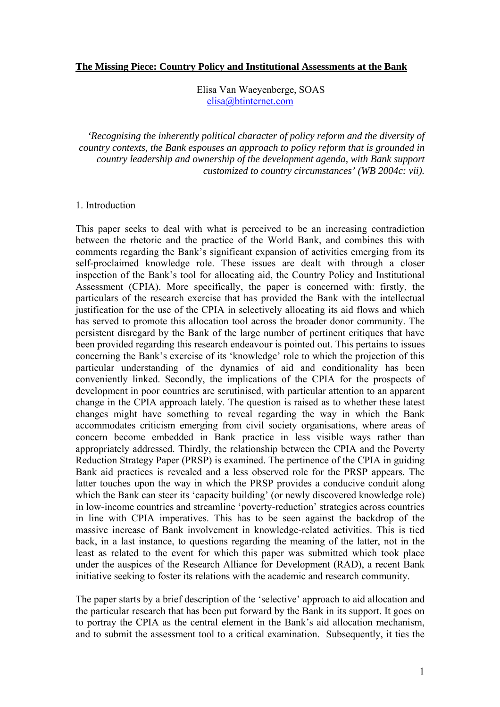#### **The Missing Piece: Country Policy and Institutional Assessments at the Bank**

Elisa Van Waeyenberge, SOAS elisa@btinternet.com

*'Recognising the inherently political character of policy reform and the diversity of country contexts, the Bank espouses an approach to policy reform that is grounded in country leadership and ownership of the development agenda, with Bank support customized to country circumstances' (WB 2004c: vii).* 

#### 1. Introduction

This paper seeks to deal with what is perceived to be an increasing contradiction between the rhetoric and the practice of the World Bank, and combines this with comments regarding the Bank's significant expansion of activities emerging from its self-proclaimed knowledge role. These issues are dealt with through a closer inspection of the Bank's tool for allocating aid, the Country Policy and Institutional Assessment (CPIA). More specifically, the paper is concerned with: firstly, the particulars of the research exercise that has provided the Bank with the intellectual justification for the use of the CPIA in selectively allocating its aid flows and which has served to promote this allocation tool across the broader donor community. The persistent disregard by the Bank of the large number of pertinent critiques that have been provided regarding this research endeavour is pointed out. This pertains to issues concerning the Bank's exercise of its 'knowledge' role to which the projection of this particular understanding of the dynamics of aid and conditionality has been conveniently linked. Secondly, the implications of the CPIA for the prospects of development in poor countries are scrutinised, with particular attention to an apparent change in the CPIA approach lately. The question is raised as to whether these latest changes might have something to reveal regarding the way in which the Bank accommodates criticism emerging from civil society organisations, where areas of concern become embedded in Bank practice in less visible ways rather than appropriately addressed. Thirdly, the relationship between the CPIA and the Poverty Reduction Strategy Paper (PRSP) is examined. The pertinence of the CPIA in guiding Bank aid practices is revealed and a less observed role for the PRSP appears. The latter touches upon the way in which the PRSP provides a conducive conduit along which the Bank can steer its 'capacity building' (or newly discovered knowledge role) in low-income countries and streamline 'poverty-reduction' strategies across countries in line with CPIA imperatives. This has to be seen against the backdrop of the massive increase of Bank involvement in knowledge-related activities. This is tied back, in a last instance, to questions regarding the meaning of the latter, not in the least as related to the event for which this paper was submitted which took place under the auspices of the Research Alliance for Development (RAD), a recent Bank initiative seeking to foster its relations with the academic and research community.

The paper starts by a brief description of the 'selective' approach to aid allocation and the particular research that has been put forward by the Bank in its support. It goes on to portray the CPIA as the central element in the Bank's aid allocation mechanism, and to submit the assessment tool to a critical examination. Subsequently, it ties the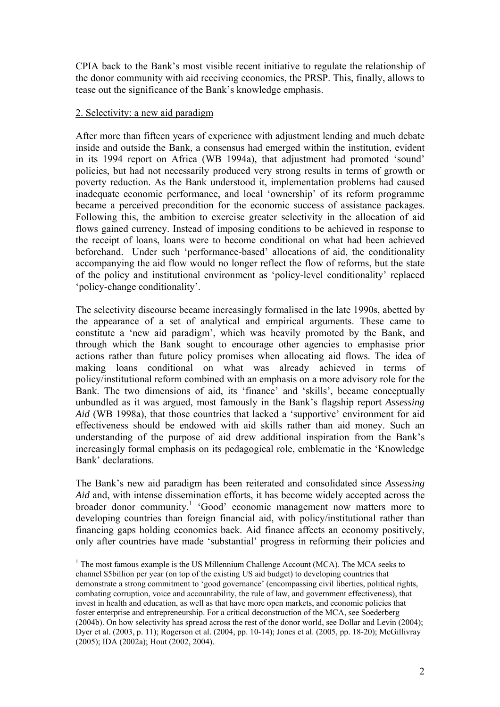CPIA back to the Bank's most visible recent initiative to regulate the relationship of the donor community with aid receiving economies, the PRSP. This, finally, allows to tease out the significance of the Bank's knowledge emphasis.

## 2. Selectivity: a new aid paradigm

 $\overline{a}$ 

After more than fifteen years of experience with adjustment lending and much debate inside and outside the Bank, a consensus had emerged within the institution, evident in its 1994 report on Africa (WB 1994a), that adjustment had promoted 'sound' policies, but had not necessarily produced very strong results in terms of growth or poverty reduction. As the Bank understood it, implementation problems had caused inadequate economic performance, and local 'ownership' of its reform programme became a perceived precondition for the economic success of assistance packages. Following this, the ambition to exercise greater selectivity in the allocation of aid flows gained currency. Instead of imposing conditions to be achieved in response to the receipt of loans, loans were to become conditional on what had been achieved beforehand. Under such 'performance-based' allocations of aid, the conditionality accompanying the aid flow would no longer reflect the flow of reforms, but the state of the policy and institutional environment as 'policy-level conditionality' replaced 'policy-change conditionality'.

The selectivity discourse became increasingly formalised in the late 1990s, abetted by the appearance of a set of analytical and empirical arguments. These came to constitute a 'new aid paradigm', which was heavily promoted by the Bank, and through which the Bank sought to encourage other agencies to emphasise prior actions rather than future policy promises when allocating aid flows. The idea of making loans conditional on what was already achieved in terms of policy/institutional reform combined with an emphasis on a more advisory role for the Bank. The two dimensions of aid, its 'finance' and 'skills', became conceptually unbundled as it was argued, most famously in the Bank's flagship report *Assessing Aid* (WB 1998a), that those countries that lacked a 'supportive' environment for aid effectiveness should be endowed with aid skills rather than aid money. Such an understanding of the purpose of aid drew additional inspiration from the Bank's increasingly formal emphasis on its pedagogical role, emblematic in the 'Knowledge Bank' declarations.

The Bank's new aid paradigm has been reiterated and consolidated since *Assessing Aid* and, with intense dissemination efforts, it has become widely accepted across the broader donor community.<sup>1</sup> 'Good' economic management now matters more to developing countries than foreign financial aid, with policy/institutional rather than financing gaps holding economies back. Aid finance affects an economy positively, only after countries have made 'substantial' progress in reforming their policies and

 $<sup>1</sup>$  The most famous example is the US Millennium Challenge Account (MCA). The MCA seeks to</sup> channel \$5billion per year (on top of the existing US aid budget) to developing countries that demonstrate a strong commitment to 'good governance' (encompassing civil liberties, political rights, combating corruption, voice and accountability, the rule of law, and government effectiveness), that invest in health and education, as well as that have more open markets, and economic policies that foster enterprise and entrepreneurship. For a critical deconstruction of the MCA, see Soederberg (2004b). On how selectivity has spread across the rest of the donor world, see Dollar and Levin (2004); Dyer et al. (2003, p. 11); Rogerson et al. (2004, pp. 10-14); Jones et al. (2005, pp. 18-20); McGillivray (2005); IDA (2002a); Hout (2002, 2004).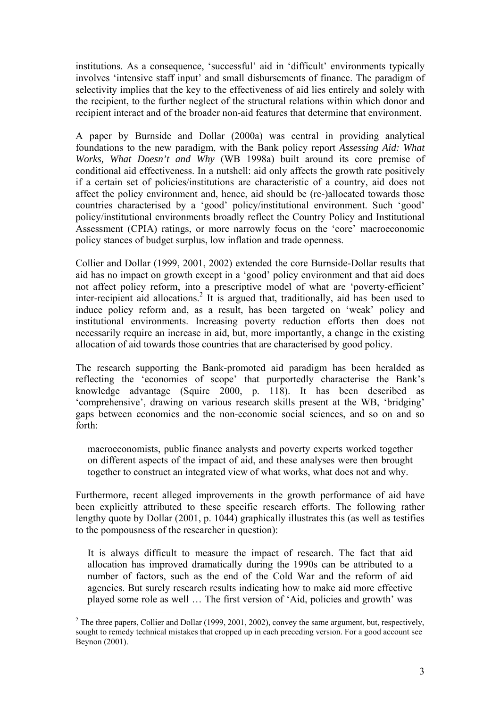institutions. As a consequence, 'successful' aid in 'difficult' environments typically involves 'intensive staff input' and small disbursements of finance. The paradigm of selectivity implies that the key to the effectiveness of aid lies entirely and solely with the recipient, to the further neglect of the structural relations within which donor and recipient interact and of the broader non-aid features that determine that environment.

A paper by Burnside and Dollar (2000a) was central in providing analytical foundations to the new paradigm, with the Bank policy report *Assessing Aid: What Works, What Doesn't and Why* (WB 1998a) built around its core premise of conditional aid effectiveness. In a nutshell: aid only affects the growth rate positively if a certain set of policies/institutions are characteristic of a country, aid does not affect the policy environment and, hence, aid should be (re-)allocated towards those countries characterised by a 'good' policy/institutional environment. Such 'good' policy/institutional environments broadly reflect the Country Policy and Institutional Assessment (CPIA) ratings, or more narrowly focus on the 'core' macroeconomic policy stances of budget surplus, low inflation and trade openness.

Collier and Dollar (1999, 2001, 2002) extended the core Burnside-Dollar results that aid has no impact on growth except in a 'good' policy environment and that aid does not affect policy reform, into a prescriptive model of what are 'poverty-efficient' inter-recipient aid allocations.<sup>2</sup> It is argued that, traditionally, aid has been used to induce policy reform and, as a result, has been targeted on 'weak' policy and institutional environments. Increasing poverty reduction efforts then does not necessarily require an increase in aid, but, more importantly, a change in the existing allocation of aid towards those countries that are characterised by good policy.

The research supporting the Bank-promoted aid paradigm has been heralded as reflecting the 'economies of scope' that purportedly characterise the Bank's knowledge advantage (Squire 2000, p. 118). It has been described as 'comprehensive', drawing on various research skills present at the WB, 'bridging' gaps between economics and the non-economic social sciences, and so on and so forth:

macroeconomists, public finance analysts and poverty experts worked together on different aspects of the impact of aid, and these analyses were then brought together to construct an integrated view of what works, what does not and why.

Furthermore, recent alleged improvements in the growth performance of aid have been explicitly attributed to these specific research efforts. The following rather lengthy quote by Dollar (2001, p. 1044) graphically illustrates this (as well as testifies to the pompousness of the researcher in question):

It is always difficult to measure the impact of research. The fact that aid allocation has improved dramatically during the 1990s can be attributed to a number of factors, such as the end of the Cold War and the reform of aid agencies. But surely research results indicating how to make aid more effective played some role as well … The first version of 'Aid, policies and growth' was

<sup>&</sup>lt;sup>2</sup> The three papers, Collier and Dollar (1999, 2001, 2002), convey the same argument, but, respectively, sought to remedy technical mistakes that cropped up in each preceding version. For a good account see Beynon (2001).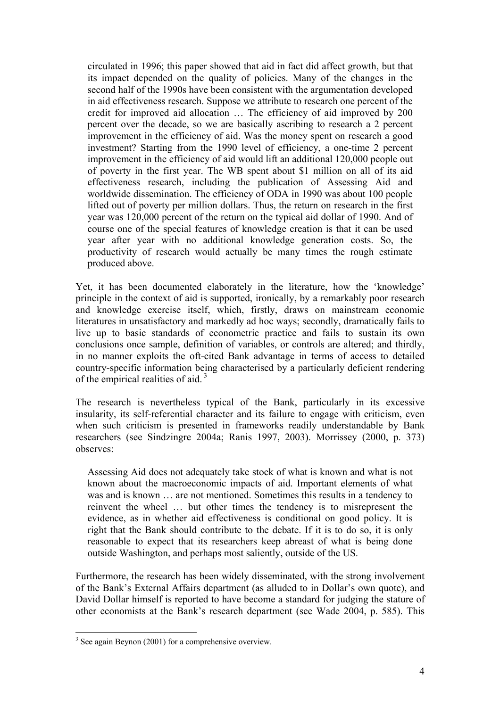circulated in 1996; this paper showed that aid in fact did affect growth, but that its impact depended on the quality of policies. Many of the changes in the second half of the 1990s have been consistent with the argumentation developed in aid effectiveness research. Suppose we attribute to research one percent of the credit for improved aid allocation … The efficiency of aid improved by 200 percent over the decade, so we are basically ascribing to research a 2 percent improvement in the efficiency of aid. Was the money spent on research a good investment? Starting from the 1990 level of efficiency, a one-time 2 percent improvement in the efficiency of aid would lift an additional 120,000 people out of poverty in the first year. The WB spent about \$1 million on all of its aid effectiveness research, including the publication of Assessing Aid and worldwide dissemination. The efficiency of ODA in 1990 was about 100 people lifted out of poverty per million dollars. Thus, the return on research in the first year was 120,000 percent of the return on the typical aid dollar of 1990. And of course one of the special features of knowledge creation is that it can be used year after year with no additional knowledge generation costs. So, the productivity of research would actually be many times the rough estimate produced above.

Yet, it has been documented elaborately in the literature, how the 'knowledge' principle in the context of aid is supported, ironically, by a remarkably poor research and knowledge exercise itself, which, firstly, draws on mainstream economic literatures in unsatisfactory and markedly ad hoc ways; secondly, dramatically fails to live up to basic standards of econometric practice and fails to sustain its own conclusions once sample, definition of variables, or controls are altered; and thirdly, in no manner exploits the oft-cited Bank advantage in terms of access to detailed country-specific information being characterised by a particularly deficient rendering of the empirical realities of aid.<sup>3</sup>

The research is nevertheless typical of the Bank, particularly in its excessive insularity, its self-referential character and its failure to engage with criticism, even when such criticism is presented in frameworks readily understandable by Bank researchers (see Sindzingre 2004a; Ranis 1997, 2003). Morrissey (2000, p. 373) observes:

Assessing Aid does not adequately take stock of what is known and what is not known about the macroeconomic impacts of aid. Important elements of what was and is known … are not mentioned. Sometimes this results in a tendency to reinvent the wheel … but other times the tendency is to misrepresent the evidence, as in whether aid effectiveness is conditional on good policy. It is right that the Bank should contribute to the debate. If it is to do so, it is only reasonable to expect that its researchers keep abreast of what is being done outside Washington, and perhaps most saliently, outside of the US.

Furthermore, the research has been widely disseminated, with the strong involvement of the Bank's External Affairs department (as alluded to in Dollar's own quote), and David Dollar himself is reported to have become a standard for judging the stature of other economists at the Bank's research department (see Wade 2004, p. 585). This

<sup>&</sup>lt;sup>3</sup> See again Beynon (2001) for a comprehensive overview.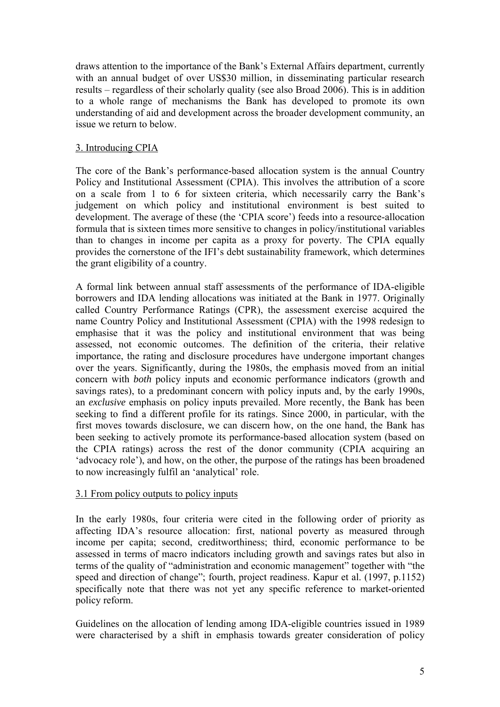draws attention to the importance of the Bank's External Affairs department, currently with an annual budget of over US\$30 million, in disseminating particular research results – regardless of their scholarly quality (see also Broad 2006). This is in addition to a whole range of mechanisms the Bank has developed to promote its own understanding of aid and development across the broader development community, an issue we return to below.

## 3. Introducing CPIA

The core of the Bank's performance-based allocation system is the annual Country Policy and Institutional Assessment (CPIA). This involves the attribution of a score on a scale from 1 to 6 for sixteen criteria, which necessarily carry the Bank's judgement on which policy and institutional environment is best suited to development. The average of these (the 'CPIA score') feeds into a resource-allocation formula that is sixteen times more sensitive to changes in policy/institutional variables than to changes in income per capita as a proxy for poverty. The CPIA equally provides the cornerstone of the IFI's debt sustainability framework, which determines the grant eligibility of a country.

A formal link between annual staff assessments of the performance of IDA-eligible borrowers and IDA lending allocations was initiated at the Bank in 1977. Originally called Country Performance Ratings (CPR), the assessment exercise acquired the name Country Policy and Institutional Assessment (CPIA) with the 1998 redesign to emphasise that it was the policy and institutional environment that was being assessed, not economic outcomes. The definition of the criteria, their relative importance, the rating and disclosure procedures have undergone important changes over the years. Significantly, during the 1980s, the emphasis moved from an initial concern with *both* policy inputs and economic performance indicators (growth and savings rates), to a predominant concern with policy inputs and, by the early 1990s, an *exclusive* emphasis on policy inputs prevailed. More recently, the Bank has been seeking to find a different profile for its ratings. Since 2000, in particular, with the first moves towards disclosure, we can discern how, on the one hand, the Bank has been seeking to actively promote its performance-based allocation system (based on the CPIA ratings) across the rest of the donor community (CPIA acquiring an 'advocacy role'), and how, on the other, the purpose of the ratings has been broadened to now increasingly fulfil an 'analytical' role.

# 3.1 From policy outputs to policy inputs

In the early 1980s, four criteria were cited in the following order of priority as affecting IDA's resource allocation: first, national poverty as measured through income per capita; second, creditworthiness; third, economic performance to be assessed in terms of macro indicators including growth and savings rates but also in terms of the quality of "administration and economic management" together with "the speed and direction of change"; fourth, project readiness. Kapur et al. (1997, p.1152) specifically note that there was not yet any specific reference to market-oriented policy reform.

Guidelines on the allocation of lending among IDA-eligible countries issued in 1989 were characterised by a shift in emphasis towards greater consideration of policy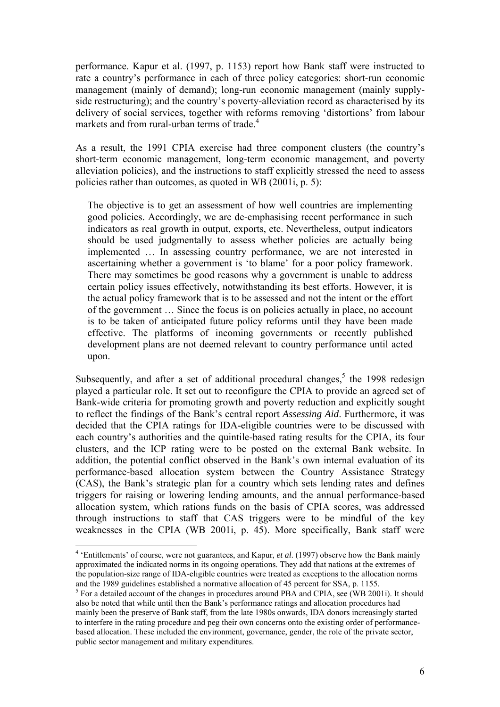performance. Kapur et al. (1997, p. 1153) report how Bank staff were instructed to rate a country's performance in each of three policy categories: short-run economic management (mainly of demand); long-run economic management (mainly supplyside restructuring); and the country's poverty-alleviation record as characterised by its delivery of social services, together with reforms removing 'distortions' from labour markets and from rural-urban terms of trade.<sup>4</sup>

As a result, the 1991 CPIA exercise had three component clusters (the country's short-term economic management, long-term economic management, and poverty alleviation policies), and the instructions to staff explicitly stressed the need to assess policies rather than outcomes, as quoted in WB (2001i, p. 5):

The objective is to get an assessment of how well countries are implementing good policies. Accordingly, we are de-emphasising recent performance in such indicators as real growth in output, exports, etc. Nevertheless, output indicators should be used judgmentally to assess whether policies are actually being implemented … In assessing country performance, we are not interested in ascertaining whether a government is 'to blame' for a poor policy framework. There may sometimes be good reasons why a government is unable to address certain policy issues effectively, notwithstanding its best efforts. However, it is the actual policy framework that is to be assessed and not the intent or the effort of the government … Since the focus is on policies actually in place, no account is to be taken of anticipated future policy reforms until they have been made effective. The platforms of incoming governments or recently published development plans are not deemed relevant to country performance until acted upon.

Subsequently, and after a set of additional procedural changes,<sup>5</sup> the 1998 redesign played a particular role. It set out to reconfigure the CPIA to provide an agreed set of Bank-wide criteria for promoting growth and poverty reduction and explicitly sought to reflect the findings of the Bank's central report *Assessing Aid*. Furthermore, it was decided that the CPIA ratings for IDA-eligible countries were to be discussed with each country's authorities and the quintile-based rating results for the CPIA, its four clusters, and the ICP rating were to be posted on the external Bank website. In addition, the potential conflict observed in the Bank's own internal evaluation of its performance-based allocation system between the Country Assistance Strategy (CAS), the Bank's strategic plan for a country which sets lending rates and defines triggers for raising or lowering lending amounts, and the annual performance-based allocation system, which rations funds on the basis of CPIA scores, was addressed through instructions to staff that CAS triggers were to be mindful of the key weaknesses in the CPIA (WB 2001i, p. 45). More specifically, Bank staff were

<sup>4</sup> 'Entitlements' of course, were not guarantees, and Kapur, *et al*. (1997) observe how the Bank mainly approximated the indicated norms in its ongoing operations. They add that nations at the extremes of the population-size range of IDA-eligible countries were treated as exceptions to the allocation norms and the 1989 guidelines established a normative allocation of 45 percent for SSA, p. 1155.

<sup>&</sup>lt;sup>5</sup> For a detailed account of the changes in procedures around PBA and CPIA, see (WB 2001i). It should also be noted that while until then the Bank's performance ratings and allocation procedures had mainly been the preserve of Bank staff, from the late 1980s onwards, IDA donors increasingly started to interfere in the rating procedure and peg their own concerns onto the existing order of performancebased allocation. These included the environment, governance, gender, the role of the private sector, public sector management and military expenditures.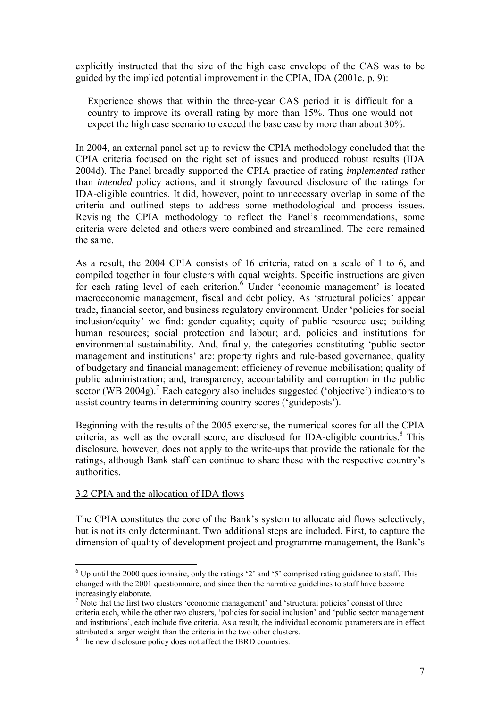explicitly instructed that the size of the high case envelope of the CAS was to be guided by the implied potential improvement in the CPIA, IDA (2001c, p. 9):

Experience shows that within the three-year CAS period it is difficult for a country to improve its overall rating by more than 15%. Thus one would not expect the high case scenario to exceed the base case by more than about 30%.

In 2004, an external panel set up to review the CPIA methodology concluded that the CPIA criteria focused on the right set of issues and produced robust results (IDA 2004d). The Panel broadly supported the CPIA practice of rating *implemented* rather than *intended* policy actions, and it strongly favoured disclosure of the ratings for IDA-eligible countries. It did, however, point to unnecessary overlap in some of the criteria and outlined steps to address some methodological and process issues. Revising the CPIA methodology to reflect the Panel's recommendations, some criteria were deleted and others were combined and streamlined. The core remained the same.

As a result, the 2004 CPIA consists of 16 criteria, rated on a scale of 1 to 6, and compiled together in four clusters with equal weights. Specific instructions are given for each rating level of each criterion.<sup>6</sup> Under 'economic management' is located macroeconomic management, fiscal and debt policy. As 'structural policies' appear trade, financial sector, and business regulatory environment. Under 'policies for social inclusion/equity' we find: gender equality; equity of public resource use; building human resources; social protection and labour; and, policies and institutions for environmental sustainability. And, finally, the categories constituting 'public sector management and institutions' are: property rights and rule-based governance; quality of budgetary and financial management; efficiency of revenue mobilisation; quality of public administration; and, transparency, accountability and corruption in the public sector (WB 2004g).<sup>7</sup> Each category also includes suggested ('objective') indicators to assist country teams in determining country scores ('guideposts').

Beginning with the results of the 2005 exercise, the numerical scores for all the CPIA criteria, as well as the overall score, are disclosed for IDA-eligible countries.<sup>8</sup> This disclosure, however, does not apply to the write-ups that provide the rationale for the ratings, although Bank staff can continue to share these with the respective country's authorities.

### 3.2 CPIA and the allocation of IDA flows

 $\overline{a}$ 

The CPIA constitutes the core of the Bank's system to allocate aid flows selectively, but is not its only determinant. Two additional steps are included. First, to capture the dimension of quality of development project and programme management, the Bank's

 $6$  Up until the 2000 questionnaire, only the ratings '2' and '5' comprised rating guidance to staff. This changed with the 2001 questionnaire, and since then the narrative guidelines to staff have become increasingly elaborate.

<sup>&</sup>lt;sup>7</sup> Note that the first two clusters 'economic management' and 'structural policies' consist of three criteria each, while the other two clusters, 'policies for social inclusion' and 'public sector management and institutions', each include five criteria. As a result, the individual economic parameters are in effect attributed a larger weight than the criteria in the two other clusters.

<sup>&</sup>lt;sup>8</sup> The new disclosure policy does not affect the IBRD countries.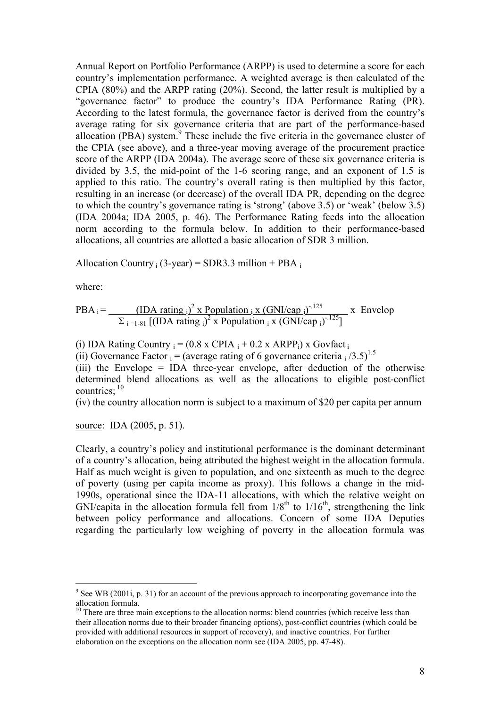Annual Report on Portfolio Performance (ARPP) is used to determine a score for each country's implementation performance. A weighted average is then calculated of the CPIA (80%) and the ARPP rating (20%). Second, the latter result is multiplied by a "governance factor" to produce the country's IDA Performance Rating (PR). According to the latest formula, the governance factor is derived from the country's average rating for six governance criteria that are part of the performance-based allocation (PBA) system.<sup>9</sup> These include the five criteria in the governance cluster of the CPIA (see above), and a three-year moving average of the procurement practice score of the ARPP (IDA 2004a). The average score of these six governance criteria is divided by 3.5, the mid-point of the 1-6 scoring range, and an exponent of 1.5 is applied to this ratio. The country's overall rating is then multiplied by this factor, resulting in an increase (or decrease) of the overall IDA PR, depending on the degree to which the country's governance rating is 'strong' (above 3.5) or 'weak' (below 3.5) (IDA 2004a; IDA 2005, p. 46). The Performance Rating feeds into the allocation norm according to the formula below. In addition to their performance-based allocations, all countries are allotted a basic allocation of SDR 3 million.

Allocation Country  $_i$  (3-year) = SDR3.3 million + PBA  $_i$ 

where:

 $\overline{a}$ 

PBA<sub>i</sub> = 
$$
\frac{\text{(IDA ratingi)}^2 \times \text{Populationi x (GNI/capi)}^{125}}{\sum_{i=1.81} [(\text{IDA rating}i)^2 x \text{ Populationi x (GNI/capi)}^{125}]} \times \text{Envelop}
$$

(i) IDA Rating Country  $_i = (0.8 \times \text{CPIA}_i + 0.2 \times \text{ARPP}_i) \times \text{Govfact}_i$ 

(ii) Governance Factor  $i = (average rating of 6 governance criteria / 3.5)^{1.5}$ 

(iii) the Envelope = IDA three-year envelope, after deduction of the otherwise determined blend allocations as well as the allocations to eligible post-conflict countries;  $10$ 

(iv) the country allocation norm is subject to a maximum of \$20 per capita per annum

source: IDA (2005, p. 51).

Clearly, a country's policy and institutional performance is the dominant determinant of a country's allocation, being attributed the highest weight in the allocation formula. Half as much weight is given to population, and one sixteenth as much to the degree of poverty (using per capita income as proxy). This follows a change in the mid-1990s, operational since the IDA-11 allocations, with which the relative weight on GNI/capita in the allocation formula fell from  $1/8^{th}$  to  $1/16^{th}$ , strengthening the link between policy performance and allocations. Concern of some IDA Deputies regarding the particularly low weighing of poverty in the allocation formula was

 $9^9$  See WB (2001i, p. 31) for an account of the previous approach to incorporating governance into the allocation formula.

 $10$  There are three main exceptions to the allocation norms: blend countries (which receive less than their allocation norms due to their broader financing options), post-conflict countries (which could be provided with additional resources in support of recovery), and inactive countries. For further elaboration on the exceptions on the allocation norm see (IDA 2005, pp. 47-48).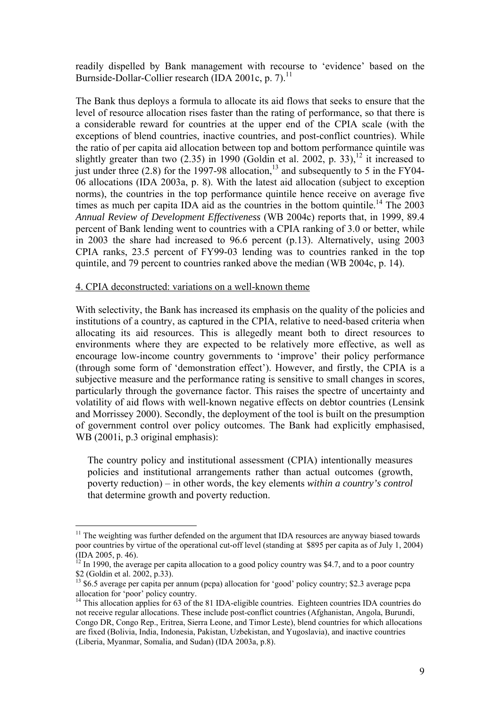readily dispelled by Bank management with recourse to 'evidence' based on the Burnside-Dollar-Collier research (IDA 2001c, p. 7).<sup>11</sup>

The Bank thus deploys a formula to allocate its aid flows that seeks to ensure that the level of resource allocation rises faster than the rating of performance, so that there is a considerable reward for countries at the upper end of the CPIA scale (with the exceptions of blend countries, inactive countries, and post-conflict countries). While the ratio of per capita aid allocation between top and bottom performance quintile was slightly greater than two  $(2.35)$  in 1990 (Goldin et al. 2002, p. 33),<sup>12</sup> it increased to just under three (2.8) for the 1997-98 allocation.<sup>13</sup> and subsequently to 5 in the FY04-06 allocations (IDA 2003a, p. 8). With the latest aid allocation (subject to exception norms), the countries in the top performance quintile hence receive on average five times as much per capita IDA aid as the countries in the bottom quintile.<sup>14</sup> The  $2003$ *Annual Review of Development Effectiveness* (WB 2004c) reports that, in 1999, 89.4 percent of Bank lending went to countries with a CPIA ranking of 3.0 or better, while in 2003 the share had increased to 96.6 percent (p.13). Alternatively, using 2003 CPIA ranks, 23.5 percent of FY99-03 lending was to countries ranked in the top quintile, and 79 percent to countries ranked above the median (WB 2004c, p. 14).

### 4. CPIA deconstructed: variations on a well-known theme

 $\overline{a}$ 

With selectivity, the Bank has increased its emphasis on the quality of the policies and institutions of a country, as captured in the CPIA, relative to need-based criteria when allocating its aid resources. This is allegedly meant both to direct resources to environments where they are expected to be relatively more effective, as well as encourage low-income country governments to 'improve' their policy performance (through some form of 'demonstration effect'). However, and firstly, the CPIA is a subjective measure and the performance rating is sensitive to small changes in scores, particularly through the governance factor. This raises the spectre of uncertainty and volatility of aid flows with well-known negative effects on debtor countries (Lensink and Morrissey 2000). Secondly, the deployment of the tool is built on the presumption of government control over policy outcomes. The Bank had explicitly emphasised, WB (2001i, p.3 original emphasis):

The country policy and institutional assessment (CPIA) intentionally measures policies and institutional arrangements rather than actual outcomes (growth, poverty reduction) – in other words, the key elements *within a country's control* that determine growth and poverty reduction.

 $11$  The weighting was further defended on the argument that IDA resources are anyway biased towards poor countries by virtue of the operational cut-off level (standing at \$895 per capita as of July 1, 2004) (IDA 2005, p. 46).

 $12$  In 1990, the average per capita allocation to a good policy country was \$4.7, and to a poor country \$2 (Goldin et al. 2002, p.33).

<sup>&</sup>lt;sup>13</sup> \$6.5 average per capita per annum (pcpa) allocation for 'good' policy country; \$2.3 average pcpa allocation for 'poor' policy country.

<sup>&</sup>lt;sup>14</sup> This allocation applies for 63 of the 81 IDA-eligible countries. Eighteen countries IDA countries do not receive regular allocations. These include post-conflict countries (Afghanistan, Angola, Burundi, Congo DR, Congo Rep., Eritrea, Sierra Leone, and Timor Leste), blend countries for which allocations are fixed (Bolivia, India, Indonesia, Pakistan, Uzbekistan, and Yugoslavia), and inactive countries (Liberia, Myanmar, Somalia, and Sudan) (IDA 2003a, p.8).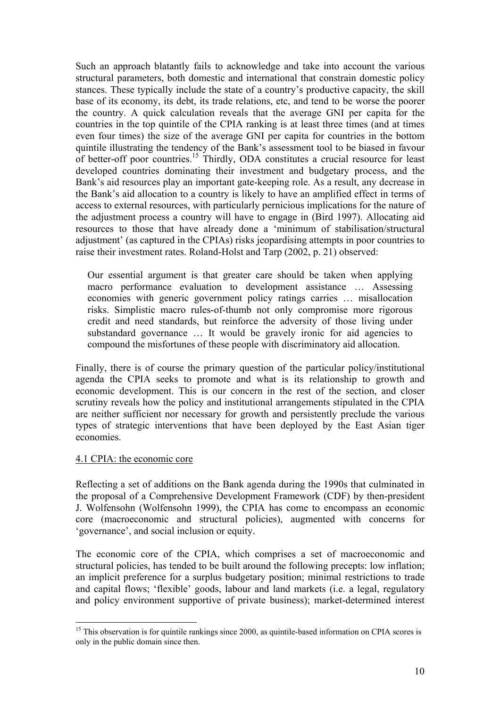Such an approach blatantly fails to acknowledge and take into account the various structural parameters, both domestic and international that constrain domestic policy stances. These typically include the state of a country's productive capacity, the skill base of its economy, its debt, its trade relations, etc, and tend to be worse the poorer the country. A quick calculation reveals that the average GNI per capita for the countries in the top quintile of the CPIA ranking is at least three times (and at times even four times) the size of the average GNI per capita for countries in the bottom quintile illustrating the tendency of the Bank's assessment tool to be biased in favour of better-off poor countries.<sup>15</sup> Thirdly, ODA constitutes a crucial resource for least developed countries dominating their investment and budgetary process, and the Bank's aid resources play an important gate-keeping role. As a result, any decrease in the Bank's aid allocation to a country is likely to have an amplified effect in terms of access to external resources, with particularly pernicious implications for the nature of the adjustment process a country will have to engage in (Bird 1997). Allocating aid resources to those that have already done a 'minimum of stabilisation/structural adjustment' (as captured in the CPIAs) risks jeopardising attempts in poor countries to raise their investment rates. Roland-Holst and Tarp (2002, p. 21) observed:

Our essential argument is that greater care should be taken when applying macro performance evaluation to development assistance … Assessing economies with generic government policy ratings carries … misallocation risks. Simplistic macro rules-of-thumb not only compromise more rigorous credit and need standards, but reinforce the adversity of those living under substandard governance ... It would be gravely ironic for aid agencies to compound the misfortunes of these people with discriminatory aid allocation.

Finally, there is of course the primary question of the particular policy/institutional agenda the CPIA seeks to promote and what is its relationship to growth and economic development. This is our concern in the rest of the section, and closer scrutiny reveals how the policy and institutional arrangements stipulated in the CPIA are neither sufficient nor necessary for growth and persistently preclude the various types of strategic interventions that have been deployed by the East Asian tiger economies.

### 4.1 CPIA: the economic core

Reflecting a set of additions on the Bank agenda during the 1990s that culminated in the proposal of a Comprehensive Development Framework (CDF) by then-president J. Wolfensohn (Wolfensohn 1999), the CPIA has come to encompass an economic core (macroeconomic and structural policies), augmented with concerns for 'governance', and social inclusion or equity.

The economic core of the CPIA, which comprises a set of macroeconomic and structural policies, has tended to be built around the following precepts: low inflation; an implicit preference for a surplus budgetary position; minimal restrictions to trade and capital flows; 'flexible' goods, labour and land markets (i.e. a legal, regulatory and policy environment supportive of private business); market-determined interest

 $\overline{a}$ <sup>15</sup> This observation is for quintile rankings since 2000, as quintile-based information on CPIA scores is only in the public domain since then.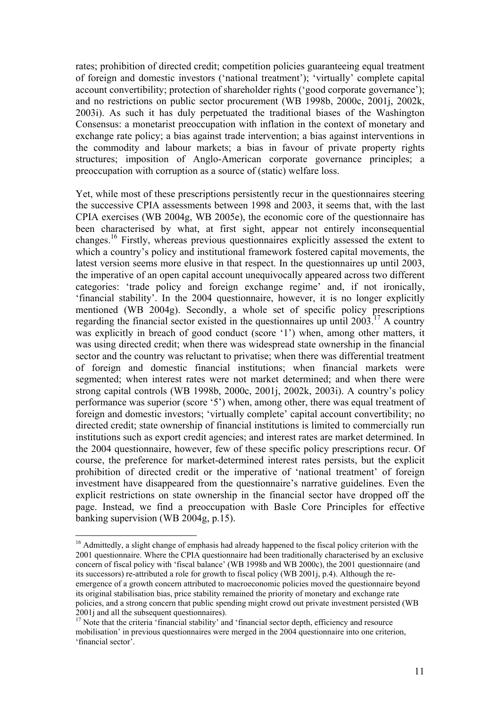rates; prohibition of directed credit; competition policies guaranteeing equal treatment of foreign and domestic investors ('national treatment'); 'virtually' complete capital account convertibility; protection of shareholder rights ('good corporate governance'); and no restrictions on public sector procurement (WB 1998b, 2000c, 2001j, 2002k, 2003i). As such it has duly perpetuated the traditional biases of the Washington Consensus: a monetarist preoccupation with inflation in the context of monetary and exchange rate policy; a bias against trade intervention; a bias against interventions in the commodity and labour markets; a bias in favour of private property rights structures; imposition of Anglo-American corporate governance principles; a preoccupation with corruption as a source of (static) welfare loss.

Yet, while most of these prescriptions persistently recur in the questionnaires steering the successive CPIA assessments between 1998 and 2003, it seems that, with the last CPIA exercises (WB 2004g, WB 2005e), the economic core of the questionnaire has been characterised by what, at first sight, appear not entirely inconsequential changes.16 Firstly, whereas previous questionnaires explicitly assessed the extent to which a country's policy and institutional framework fostered capital movements, the latest version seems more elusive in that respect. In the questionnaires up until 2003, the imperative of an open capital account unequivocally appeared across two different categories: 'trade policy and foreign exchange regime' and, if not ironically, 'financial stability'. In the 2004 questionnaire, however, it is no longer explicitly mentioned (WB 2004g). Secondly, a whole set of specific policy prescriptions regarding the financial sector existed in the questionnaires up until 2003.17 A country was explicitly in breach of good conduct (score '1') when, among other matters, it was using directed credit; when there was widespread state ownership in the financial sector and the country was reluctant to privatise; when there was differential treatment of foreign and domestic financial institutions; when financial markets were segmented; when interest rates were not market determined; and when there were strong capital controls (WB 1998b, 2000c, 2001j, 2002k, 2003i). A country's policy performance was superior (score '5') when, among other, there was equal treatment of foreign and domestic investors; 'virtually complete' capital account convertibility; no directed credit; state ownership of financial institutions is limited to commercially run institutions such as export credit agencies; and interest rates are market determined. In the 2004 questionnaire, however, few of these specific policy prescriptions recur. Of course, the preference for market-determined interest rates persists, but the explicit prohibition of directed credit or the imperative of 'national treatment' of foreign investment have disappeared from the questionnaire's narrative guidelines. Even the explicit restrictions on state ownership in the financial sector have dropped off the page. Instead, we find a preoccupation with Basle Core Principles for effective banking supervision (WB 2004g, p.15).

<sup>&</sup>lt;sup>16</sup> Admittedly, a slight change of emphasis had already happened to the fiscal policy criterion with the 2001 questionnaire. Where the CPIA questionnaire had been traditionally characterised by an exclusive concern of fiscal policy with 'fiscal balance' (WB 1998b and WB 2000c), the 2001 questionnaire (and its successors) re-attributed a role for growth to fiscal policy (WB 2001j, p.4). Although the reemergence of a growth concern attributed to macroeconomic policies moved the questionnaire beyond its original stabilisation bias, price stability remained the priority of monetary and exchange rate policies, and a strong concern that public spending might crowd out private investment persisted (WB 2001 and all the subsequent questionnaires).

<sup>&</sup>lt;sup>17</sup> Note that the criteria 'financial stability' and 'financial sector depth, efficiency and resource mobilisation' in previous questionnaires were merged in the 2004 questionnaire into one criterion, 'financial sector'.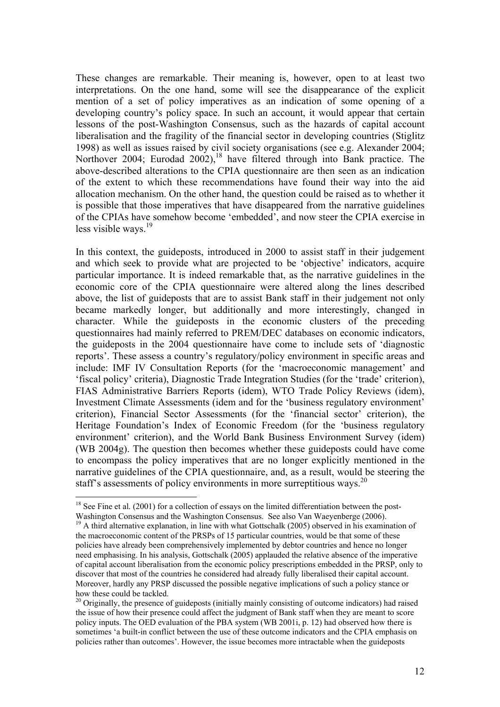These changes are remarkable. Their meaning is, however, open to at least two interpretations. On the one hand, some will see the disappearance of the explicit mention of a set of policy imperatives as an indication of some opening of a developing country's policy space. In such an account, it would appear that certain lessons of the post-Washington Consensus, such as the hazards of capital account liberalisation and the fragility of the financial sector in developing countries (Stiglitz 1998) as well as issues raised by civil society organisations (see e.g. Alexander 2004; Northover 2004; Eurodad 2002),<sup>18</sup> have filtered through into Bank practice. The above-described alterations to the CPIA questionnaire are then seen as an indication of the extent to which these recommendations have found their way into the aid allocation mechanism. On the other hand, the question could be raised as to whether it is possible that those imperatives that have disappeared from the narrative guidelines of the CPIAs have somehow become 'embedded', and now steer the CPIA exercise in less visible ways.<sup>19</sup>

In this context, the guideposts, introduced in 2000 to assist staff in their judgement and which seek to provide what are projected to be 'objective' indicators, acquire particular importance. It is indeed remarkable that, as the narrative guidelines in the economic core of the CPIA questionnaire were altered along the lines described above, the list of guideposts that are to assist Bank staff in their judgement not only became markedly longer, but additionally and more interestingly, changed in character. While the guideposts in the economic clusters of the preceding questionnaires had mainly referred to PREM/DEC databases on economic indicators, the guideposts in the 2004 questionnaire have come to include sets of 'diagnostic reports'. These assess a country's regulatory/policy environment in specific areas and include: IMF IV Consultation Reports (for the 'macroeconomic management' and 'fiscal policy' criteria), Diagnostic Trade Integration Studies (for the 'trade' criterion), FIAS Administrative Barriers Reports (idem), WTO Trade Policy Reviews (idem), Investment Climate Assessments (idem and for the 'business regulatory environment' criterion), Financial Sector Assessments (for the 'financial sector' criterion), the Heritage Foundation's Index of Economic Freedom (for the 'business regulatory environment' criterion), and the World Bank Business Environment Survey (idem) (WB 2004g). The question then becomes whether these guideposts could have come to encompass the policy imperatives that are no longer explicitly mentioned in the narrative guidelines of the CPIA questionnaire, and, as a result, would be steering the staff's assessments of policy environments in more surreptitious ways.<sup>20</sup>

<sup>&</sup>lt;sup>18</sup> See Fine et al. (2001) for a collection of essays on the limited differentiation between the post-Washington Consensus and the Washington Consensus. See also Van Waevenberge (2006).

<sup>&</sup>lt;sup>19</sup> A third alternative explanation, in line with what Gottschalk (2005) observed in his examination of the macroeconomic content of the PRSPs of 15 particular countries, would be that some of these policies have already been comprehensively implemented by debtor countries and hence no longer need emphasising. In his analysis, Gottschalk (2005) applauded the relative absence of the imperative of capital account liberalisation from the economic policy prescriptions embedded in the PRSP, only to discover that most of the countries he considered had already fully liberalised their capital account. Moreover, hardly any PRSP discussed the possible negative implications of such a policy stance or how these could be tackled.

<sup>&</sup>lt;sup>20</sup> Originally, the presence of guideposts (initially mainly consisting of outcome indicators) had raised the issue of how their presence could affect the judgment of Bank staff when they are meant to score policy inputs. The OED evaluation of the PBA system (WB 2001i, p. 12) had observed how there is sometimes 'a built-in conflict between the use of these outcome indicators and the CPIA emphasis on policies rather than outcomes'. However, the issue becomes more intractable when the guideposts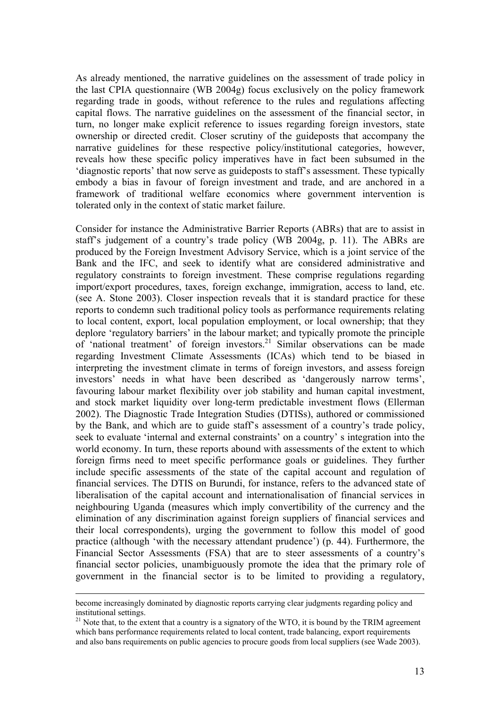As already mentioned, the narrative guidelines on the assessment of trade policy in the last CPIA questionnaire (WB 2004g) focus exclusively on the policy framework regarding trade in goods, without reference to the rules and regulations affecting capital flows. The narrative guidelines on the assessment of the financial sector, in turn, no longer make explicit reference to issues regarding foreign investors, state ownership or directed credit. Closer scrutiny of the guideposts that accompany the narrative guidelines for these respective policy/institutional categories, however, reveals how these specific policy imperatives have in fact been subsumed in the 'diagnostic reports' that now serve as guideposts to staff's assessment. These typically embody a bias in favour of foreign investment and trade, and are anchored in a framework of traditional welfare economics where government intervention is tolerated only in the context of static market failure.

Consider for instance the Administrative Barrier Reports (ABRs) that are to assist in staff's judgement of a country's trade policy (WB 2004g, p. 11). The ABRs are produced by the Foreign Investment Advisory Service, which is a joint service of the Bank and the IFC, and seek to identify what are considered administrative and regulatory constraints to foreign investment. These comprise regulations regarding import/export procedures, taxes, foreign exchange, immigration, access to land, etc. (see A. Stone 2003). Closer inspection reveals that it is standard practice for these reports to condemn such traditional policy tools as performance requirements relating to local content, export, local population employment, or local ownership; that they deplore 'regulatory barriers' in the labour market; and typically promote the principle of 'national treatment' of foreign investors.<sup>21</sup> Similar observations can be made regarding Investment Climate Assessments (ICAs) which tend to be biased in interpreting the investment climate in terms of foreign investors, and assess foreign investors' needs in what have been described as 'dangerously narrow terms', favouring labour market flexibility over job stability and human capital investment, and stock market liquidity over long-term predictable investment flows (Ellerman 2002). The Diagnostic Trade Integration Studies (DTISs), authored or commissioned by the Bank, and which are to guide staff's assessment of a country's trade policy, seek to evaluate 'internal and external constraints' on a country' s integration into the world economy. In turn, these reports abound with assessments of the extent to which foreign firms need to meet specific performance goals or guidelines. They further include specific assessments of the state of the capital account and regulation of financial services. The DTIS on Burundi, for instance, refers to the advanced state of liberalisation of the capital account and internationalisation of financial services in neighbouring Uganda (measures which imply convertibility of the currency and the elimination of any discrimination against foreign suppliers of financial services and their local correspondents), urging the government to follow this model of good practice (although 'with the necessary attendant prudence') (p. 44). Furthermore, the Financial Sector Assessments (FSA) that are to steer assessments of a country's financial sector policies, unambiguously promote the idea that the primary role of government in the financial sector is to be limited to providing a regulatory,

become increasingly dominated by diagnostic reports carrying clear judgments regarding policy and institutional settings.

 $21$  Note that, to the extent that a country is a signatory of the WTO, it is bound by the TRIM agreement which bans performance requirements related to local content, trade balancing, export requirements and also bans requirements on public agencies to procure goods from local suppliers (see Wade 2003).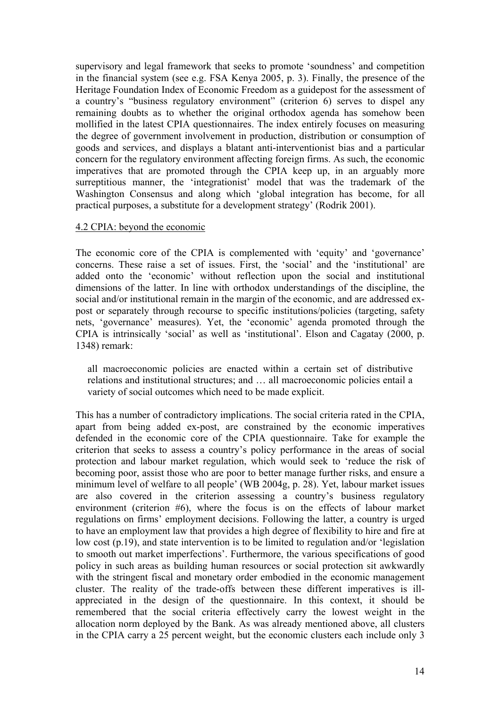supervisory and legal framework that seeks to promote 'soundness' and competition in the financial system (see e.g. FSA Kenya 2005, p. 3). Finally, the presence of the Heritage Foundation Index of Economic Freedom as a guidepost for the assessment of a country's "business regulatory environment" (criterion 6) serves to dispel any remaining doubts as to whether the original orthodox agenda has somehow been mollified in the latest CPIA questionnaires. The index entirely focuses on measuring the degree of government involvement in production, distribution or consumption of goods and services, and displays a blatant anti-interventionist bias and a particular concern for the regulatory environment affecting foreign firms. As such, the economic imperatives that are promoted through the CPIA keep up, in an arguably more surreptitious manner, the 'integrationist' model that was the trademark of the Washington Consensus and along which 'global integration has become, for all practical purposes, a substitute for a development strategy' (Rodrik 2001).

#### 4.2 CPIA: beyond the economic

The economic core of the CPIA is complemented with 'equity' and 'governance' concerns. These raise a set of issues. First, the 'social' and the 'institutional' are added onto the 'economic' without reflection upon the social and institutional dimensions of the latter. In line with orthodox understandings of the discipline, the social and/or institutional remain in the margin of the economic, and are addressed expost or separately through recourse to specific institutions/policies (targeting, safety nets, 'governance' measures). Yet, the 'economic' agenda promoted through the CPIA is intrinsically 'social' as well as 'institutional'. Elson and Cagatay (2000, p. 1348) remark:

all macroeconomic policies are enacted within a certain set of distributive relations and institutional structures; and … all macroeconomic policies entail a variety of social outcomes which need to be made explicit.

This has a number of contradictory implications. The social criteria rated in the CPIA, apart from being added ex-post, are constrained by the economic imperatives defended in the economic core of the CPIA questionnaire. Take for example the criterion that seeks to assess a country's policy performance in the areas of social protection and labour market regulation, which would seek to 'reduce the risk of becoming poor, assist those who are poor to better manage further risks, and ensure a minimum level of welfare to all people' (WB 2004g, p. 28). Yet, labour market issues are also covered in the criterion assessing a country's business regulatory environment (criterion #6), where the focus is on the effects of labour market regulations on firms' employment decisions. Following the latter, a country is urged to have an employment law that provides a high degree of flexibility to hire and fire at low cost (p.19), and state intervention is to be limited to regulation and/or 'legislation to smooth out market imperfections'. Furthermore, the various specifications of good policy in such areas as building human resources or social protection sit awkwardly with the stringent fiscal and monetary order embodied in the economic management cluster. The reality of the trade-offs between these different imperatives is illappreciated in the design of the questionnaire. In this context, it should be remembered that the social criteria effectively carry the lowest weight in the allocation norm deployed by the Bank. As was already mentioned above, all clusters in the CPIA carry a 25 percent weight, but the economic clusters each include only 3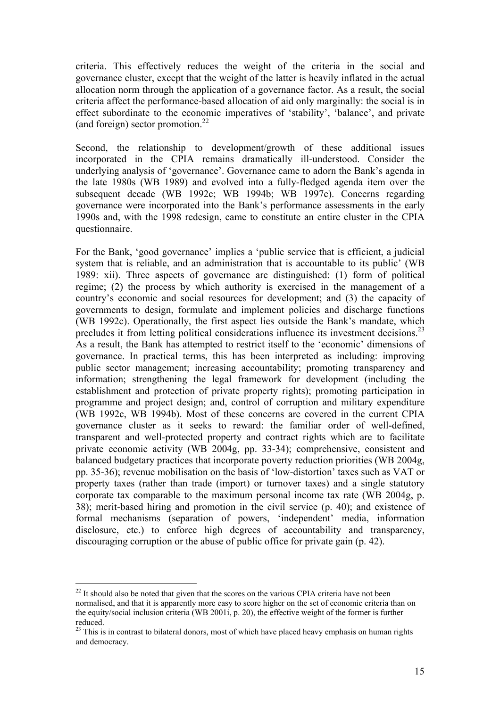criteria. This effectively reduces the weight of the criteria in the social and governance cluster, except that the weight of the latter is heavily inflated in the actual allocation norm through the application of a governance factor. As a result, the social criteria affect the performance-based allocation of aid only marginally: the social is in effect subordinate to the economic imperatives of 'stability', 'balance', and private (and foreign) sector promotion. $^{22}$ 

Second, the relationship to development/growth of these additional issues incorporated in the CPIA remains dramatically ill-understood. Consider the underlying analysis of 'governance'. Governance came to adorn the Bank's agenda in the late 1980s (WB 1989) and evolved into a fully-fledged agenda item over the subsequent decade (WB 1992c; WB 1994b; WB 1997c). Concerns regarding governance were incorporated into the Bank's performance assessments in the early 1990s and, with the 1998 redesign, came to constitute an entire cluster in the CPIA questionnaire.

For the Bank, 'good governance' implies a 'public service that is efficient, a judicial system that is reliable, and an administration that is accountable to its public' (WB 1989: xii). Three aspects of governance are distinguished: (1) form of political regime; (2) the process by which authority is exercised in the management of a country's economic and social resources for development; and (3) the capacity of governments to design, formulate and implement policies and discharge functions (WB 1992c). Operationally, the first aspect lies outside the Bank's mandate, which precludes it from letting political considerations influence its investment decisions.<sup>23</sup> As a result, the Bank has attempted to restrict itself to the 'economic' dimensions of governance. In practical terms, this has been interpreted as including: improving public sector management; increasing accountability; promoting transparency and information; strengthening the legal framework for development (including the establishment and protection of private property rights); promoting participation in programme and project design; and, control of corruption and military expenditure (WB 1992c, WB 1994b). Most of these concerns are covered in the current CPIA governance cluster as it seeks to reward: the familiar order of well-defined, transparent and well-protected property and contract rights which are to facilitate private economic activity (WB 2004g, pp. 33-34); comprehensive, consistent and balanced budgetary practices that incorporate poverty reduction priorities (WB 2004g, pp. 35-36); revenue mobilisation on the basis of 'low-distortion' taxes such as VAT or property taxes (rather than trade (import) or turnover taxes) and a single statutory corporate tax comparable to the maximum personal income tax rate (WB 2004g, p. 38); merit-based hiring and promotion in the civil service (p. 40); and existence of formal mechanisms (separation of powers, 'independent' media, information disclosure, etc.) to enforce high degrees of accountability and transparency, discouraging corruption or the abuse of public office for private gain (p. 42).

 $22$  It should also be noted that given that the scores on the various CPIA criteria have not been normalised, and that it is apparently more easy to score higher on the set of economic criteria than on the equity/social inclusion criteria (WB 2001i, p. 20), the effective weight of the former is further reduced.

<sup>&</sup>lt;sup>23</sup> This is in contrast to bilateral donors, most of which have placed heavy emphasis on human rights and democracy.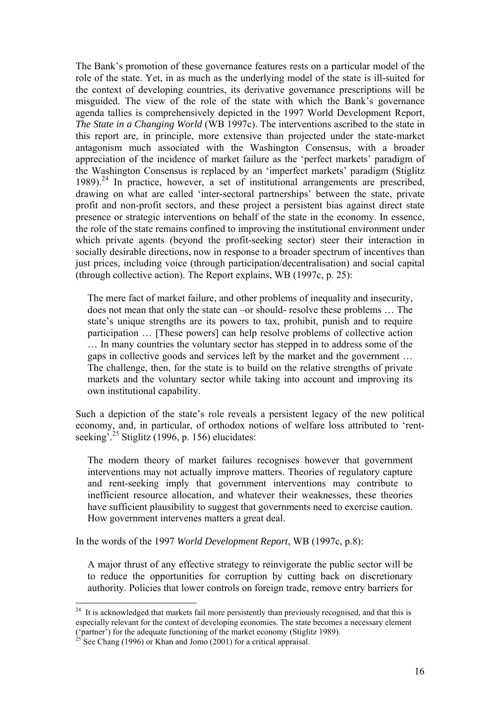The Bank's promotion of these governance features rests on a particular model of the role of the state. Yet, in as much as the underlying model of the state is ill-suited for the context of developing countries, its derivative governance prescriptions will be misguided. The view of the role of the state with which the Bank's governance agenda tallies is comprehensively depicted in the 1997 World Development Report, *The State in a Changing World* (WB 1997c). The interventions ascribed to the state in this report are, in principle, more extensive than projected under the state-market antagonism much associated with the Washington Consensus, with a broader appreciation of the incidence of market failure as the 'perfect markets' paradigm of the Washington Consensus is replaced by an 'imperfect markets' paradigm (Stiglitz 1989).<sup>24</sup> In practice, however, a set of institutional arrangements are prescribed, drawing on what are called 'inter-sectoral partnerships' between the state, private profit and non-profit sectors, and these project a persistent bias against direct state presence or strategic interventions on behalf of the state in the economy. In essence, the role of the state remains confined to improving the institutional environment under which private agents (beyond the profit-seeking sector) steer their interaction in socially desirable directions, now in response to a broader spectrum of incentives than just prices, including voice (through participation/decentralisation) and social capital (through collective action). The Report explains, WB (1997c, p. 25):

The mere fact of market failure, and other problems of inequality and insecurity, does not mean that only the state can –or should- resolve these problems … The state's unique strengths are its powers to tax, prohibit, punish and to require participation … [These powers] can help resolve problems of collective action … In many countries the voluntary sector has stepped in to address some of the gaps in collective goods and services left by the market and the government … The challenge, then, for the state is to build on the relative strengths of private markets and the voluntary sector while taking into account and improving its own institutional capability.

Such a depiction of the state's role reveals a persistent legacy of the new political economy, and, in particular, of orthodox notions of welfare loss attributed to 'rentseeking<sup>'.25</sup> Stiglitz (1996, p. 156) elucidates:

The modern theory of market failures recognises however that government interventions may not actually improve matters. Theories of regulatory capture and rent-seeking imply that government interventions may contribute to inefficient resource allocation, and whatever their weaknesses, these theories have sufficient plausibility to suggest that governments need to exercise caution. How government intervenes matters a great deal.

In the words of the 1997 *World Development Report*, WB (1997c, p.8):

A major thrust of any effective strategy to reinvigorate the public sector will be to reduce the opportunities for corruption by cutting back on discretionary authority. Policies that lower controls on foreign trade, remove entry barriers for

 $24$  It is acknowledged that markets fail more persistently than previously recognised, and that this is especially relevant for the context of developing economies. The state becomes a necessary element ('partner') for the adequate functioning of the market economy (Stiglitz 1989).

See Chang (1996) or Khan and Jomo (2001) for a critical appraisal.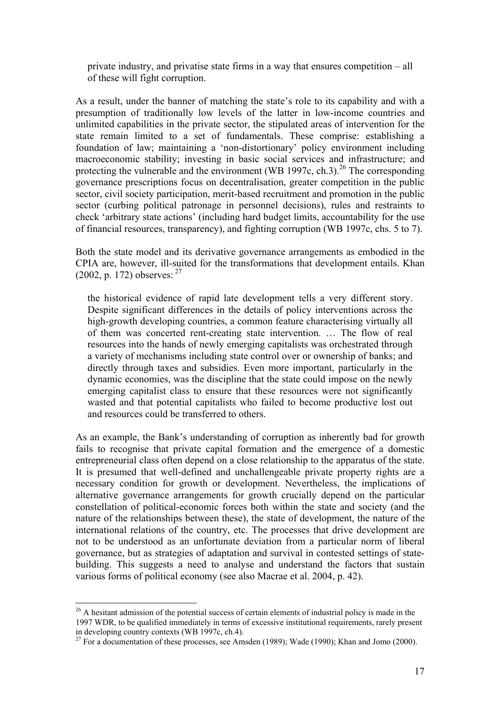private industry, and privatise state firms in a way that ensures competition – all of these will fight corruption.

As a result, under the banner of matching the state's role to its capability and with a presumption of traditionally low levels of the latter in low-income countries and unlimited capabilities in the private sector, the stipulated areas of intervention for the state remain limited to a set of fundamentals. These comprise: establishing a foundation of law; maintaining a 'non-distortionary' policy environment including macroeconomic stability; investing in basic social services and infrastructure; and protecting the vulnerable and the environment (WB 1997c, ch.3).<sup>26</sup> The corresponding governance prescriptions focus on decentralisation, greater competition in the public sector, civil society participation, merit-based recruitment and promotion in the public sector (curbing political patronage in personnel decisions), rules and restraints to check 'arbitrary state actions' (including hard budget limits, accountability for the use of financial resources, transparency), and fighting corruption (WB 1997c, chs. 5 to 7).

Both the state model and its derivative governance arrangements as embodied in the CPIA are, however, ill-suited for the transformations that development entails. Khan  $(2002, p. 172)$  observes: <sup>27</sup>

the historical evidence of rapid late development tells a very different story. Despite significant differences in the details of policy interventions across the high-growth developing countries, a common feature characterising virtually all of them was concerted rent-creating state intervention. … The flow of real resources into the hands of newly emerging capitalists was orchestrated through a variety of mechanisms including state control over or ownership of banks; and directly through taxes and subsidies. Even more important, particularly in the dynamic economies, was the discipline that the state could impose on the newly emerging capitalist class to ensure that these resources were not significantly wasted and that potential capitalists who failed to become productive lost out and resources could be transferred to others.

As an example, the Bank's understanding of corruption as inherently bad for growth fails to recognise that private capital formation and the emergence of a domestic entrepreneurial class often depend on a close relationship to the apparatus of the state. It is presumed that well-defined and unchallengeable private property rights are a necessary condition for growth or development. Nevertheless, the implications of alternative governance arrangements for growth crucially depend on the particular constellation of political-economic forces both within the state and society (and the nature of the relationships between these), the state of development, the nature of the international relations of the country, etc. The processes that drive development are not to be understood as an unfortunate deviation from a particular norm of liberal governance, but as strategies of adaptation and survival in contested settings of statebuilding. This suggests a need to analyse and understand the factors that sustain various forms of political economy (see also Macrae et al. 2004, p. 42).

<sup>&</sup>lt;sup>26</sup> A hesitant admission of the potential success of certain elements of industrial policy is made in the 1997 WDR, to be qualified immediately in terms of excessive institutional requirements, rarely present in developing country contexts (WB 1997c, ch.4).

 $27$  For a documentation of these processes, see Amsden (1989); Wade (1990); Khan and Jomo (2000).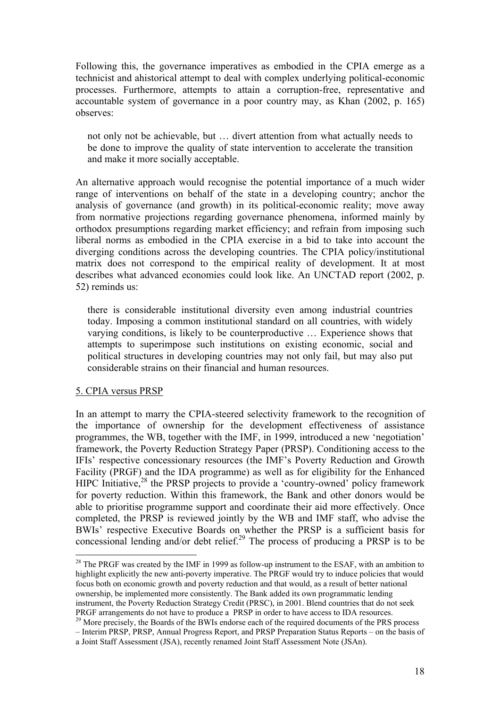Following this, the governance imperatives as embodied in the CPIA emerge as a technicist and ahistorical attempt to deal with complex underlying political-economic processes. Furthermore, attempts to attain a corruption-free, representative and accountable system of governance in a poor country may, as Khan (2002, p. 165) observes:

not only not be achievable, but … divert attention from what actually needs to be done to improve the quality of state intervention to accelerate the transition and make it more socially acceptable.

An alternative approach would recognise the potential importance of a much wider range of interventions on behalf of the state in a developing country; anchor the analysis of governance (and growth) in its political-economic reality; move away from normative projections regarding governance phenomena, informed mainly by orthodox presumptions regarding market efficiency; and refrain from imposing such liberal norms as embodied in the CPIA exercise in a bid to take into account the diverging conditions across the developing countries. The CPIA policy/institutional matrix does not correspond to the empirical reality of development. It at most describes what advanced economies could look like. An UNCTAD report (2002, p. 52) reminds us:

there is considerable institutional diversity even among industrial countries today. Imposing a common institutional standard on all countries, with widely varying conditions, is likely to be counterproductive … Experience shows that attempts to superimpose such institutions on existing economic, social and political structures in developing countries may not only fail, but may also put considerable strains on their financial and human resources.

### 5. CPIA versus PRSP

 $\overline{a}$ 

In an attempt to marry the CPIA-steered selectivity framework to the recognition of the importance of ownership for the development effectiveness of assistance programmes, the WB, together with the IMF, in 1999, introduced a new 'negotiation' framework, the Poverty Reduction Strategy Paper (PRSP). Conditioning access to the IFIs' respective concessionary resources (the IMF's Poverty Reduction and Growth Facility (PRGF) and the IDA programme) as well as for eligibility for the Enhanced HIPC Initiative.<sup>28</sup> the PRSP projects to provide a 'country-owned' policy framework for poverty reduction. Within this framework, the Bank and other donors would be able to prioritise programme support and coordinate their aid more effectively. Once completed, the PRSP is reviewed jointly by the WB and IMF staff, who advise the BWIs' respective Executive Boards on whether the PRSP is a sufficient basis for concessional lending and/or debt relief.<sup>29</sup> The process of producing a PRSP is to be

 $^{28}$  The PRGF was created by the IMF in 1999 as follow-up instrument to the ESAF, with an ambition to highlight explicitly the new anti-poverty imperative. The PRGF would try to induce policies that would focus both on economic growth and poverty reduction and that would, as a result of better national ownership, be implemented more consistently. The Bank added its own programmatic lending instrument, the Poverty Reduction Strategy Credit (PRSC), in 2001. Blend countries that do not seek PRGF arrangements do not have to produce a PRSP in order to have access to IDA resources. 29 More precisely, the Boards of the BWIs endorse each of the required documents of the PRS process

<sup>–</sup> Interim PRSP, PRSP, Annual Progress Report, and PRSP Preparation Status Reports – on the basis of a Joint Staff Assessment (JSA), recently renamed Joint Staff Assessment Note (JSAn).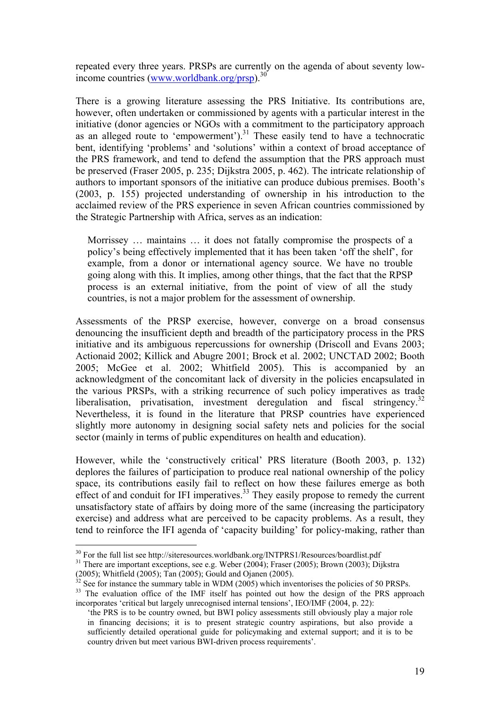repeated every three years. PRSPs are currently on the agenda of about seventy lowincome countries (www.worldbank.org/prsp).30

There is a growing literature assessing the PRS Initiative. Its contributions are, however, often undertaken or commissioned by agents with a particular interest in the initiative (donor agencies or NGOs with a commitment to the participatory approach as an alleged route to 'empowerment'). $31$  These easily tend to have a technocratic bent, identifying 'problems' and 'solutions' within a context of broad acceptance of the PRS framework, and tend to defend the assumption that the PRS approach must be preserved (Fraser 2005, p. 235; Dijkstra 2005, p. 462). The intricate relationship of authors to important sponsors of the initiative can produce dubious premises. Booth's (2003, p. 155) projected understanding of ownership in his introduction to the acclaimed review of the PRS experience in seven African countries commissioned by the Strategic Partnership with Africa, serves as an indication:

Morrissey … maintains … it does not fatally compromise the prospects of a policy's being effectively implemented that it has been taken 'off the shelf', for example, from a donor or international agency source. We have no trouble going along with this. It implies, among other things, that the fact that the RPSP process is an external initiative, from the point of view of all the study countries, is not a major problem for the assessment of ownership.

Assessments of the PRSP exercise, however, converge on a broad consensus denouncing the insufficient depth and breadth of the participatory process in the PRS initiative and its ambiguous repercussions for ownership (Driscoll and Evans 2003; Actionaid 2002; Killick and Abugre 2001; Brock et al. 2002; UNCTAD 2002; Booth 2005; McGee et al. 2002; Whitfield 2005). This is accompanied by an acknowledgment of the concomitant lack of diversity in the policies encapsulated in the various PRSPs, with a striking recurrence of such policy imperatives as trade liberalisation, privatisation, investment deregulation and fiscal stringency.<sup>32</sup> Nevertheless, it is found in the literature that PRSP countries have experienced slightly more autonomy in designing social safety nets and policies for the social sector (mainly in terms of public expenditures on health and education).

However, while the 'constructively critical' PRS literature (Booth 2003, p. 132) deplores the failures of participation to produce real national ownership of the policy space, its contributions easily fail to reflect on how these failures emerge as both effect of and conduit for IFI imperatives.<sup>33</sup> They easily propose to remedy the current unsatisfactory state of affairs by doing more of the same (increasing the participatory exercise) and address what are perceived to be capacity problems. As a result, they tend to reinforce the IFI agenda of 'capacity building' for policy-making, rather than

<sup>&</sup>lt;sup>30</sup> For the full list see http://siteresources.worldbank.org/INTPRS1/Resources/boardlist.pdf  $^{31}$  There are important exceptions, see e.g. Weber (2004); Fraser (2005); Brown (2003); Dijkstra

<sup>(2005);</sup> Whitfield (2005); Tan (2005); Gould and Ojanen (2005).

 $32$  See for instance the summary table in WDM (2005) which inventorises the policies of 50 PRSPs. <sup>33</sup> The evaluation office of the IMF itself has pointed out how the design of the PRS approach incorporates 'critical but largely unrecognised internal tensions', IEO/IMF (2004, p. 22):

<sup>&#</sup>x27;the PRS is to be country owned, but BWI policy assessments still obviously play a major role in financing decisions; it is to present strategic country aspirations, but also provide a sufficiently detailed operational guide for policymaking and external support; and it is to be country driven but meet various BWI-driven process requirements'.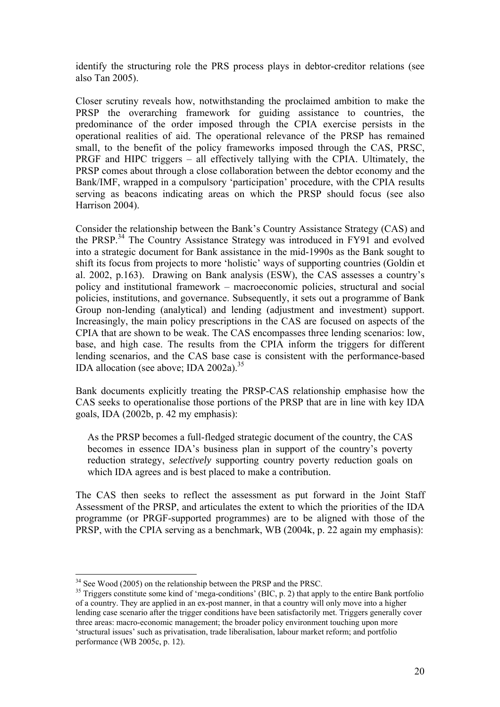identify the structuring role the PRS process plays in debtor-creditor relations (see also Tan 2005).

Closer scrutiny reveals how, notwithstanding the proclaimed ambition to make the PRSP the overarching framework for guiding assistance to countries, the predominance of the order imposed through the CPIA exercise persists in the operational realities of aid. The operational relevance of the PRSP has remained small, to the benefit of the policy frameworks imposed through the CAS, PRSC, PRGF and HIPC triggers – all effectively tallying with the CPIA. Ultimately, the PRSP comes about through a close collaboration between the debtor economy and the Bank/IMF, wrapped in a compulsory 'participation' procedure, with the CPIA results serving as beacons indicating areas on which the PRSP should focus (see also Harrison 2004).

Consider the relationship between the Bank's Country Assistance Strategy (CAS) and the PRSP.<sup>34</sup> The Country Assistance Strategy was introduced in FY91 and evolved into a strategic document for Bank assistance in the mid-1990s as the Bank sought to shift its focus from projects to more 'holistic' ways of supporting countries (Goldin et al. 2002, p.163). Drawing on Bank analysis (ESW), the CAS assesses a country's policy and institutional framework – macroeconomic policies, structural and social policies, institutions, and governance. Subsequently, it sets out a programme of Bank Group non-lending (analytical) and lending (adjustment and investment) support. Increasingly, the main policy prescriptions in the CAS are focused on aspects of the CPIA that are shown to be weak. The CAS encompasses three lending scenarios: low, base, and high case. The results from the CPIA inform the triggers for different lending scenarios, and the CAS base case is consistent with the performance-based IDA allocation (see above; IDA  $2002a$ ).<sup>35</sup>

Bank documents explicitly treating the PRSP-CAS relationship emphasise how the CAS seeks to operationalise those portions of the PRSP that are in line with key IDA goals, IDA (2002b, p. 42 my emphasis):

As the PRSP becomes a full-fledged strategic document of the country, the CAS becomes in essence IDA's business plan in support of the country's poverty reduction strategy, *selectively* supporting country poverty reduction goals on which IDA agrees and is best placed to make a contribution.

The CAS then seeks to reflect the assessment as put forward in the Joint Staff Assessment of the PRSP, and articulates the extent to which the priorities of the IDA programme (or PRGF-supported programmes) are to be aligned with those of the PRSP, with the CPIA serving as a benchmark, WB (2004k, p. 22 again my emphasis):

 $34$  See Wood (2005) on the relationship between the PRSP and the PRSC.

 $35$  Triggers constitute some kind of 'mega-conditions' (BIC, p. 2) that apply to the entire Bank portfolio of a country. They are applied in an ex-post manner, in that a country will only move into a higher lending case scenario after the trigger conditions have been satisfactorily met. Triggers generally cover three areas: macro-economic management; the broader policy environment touching upon more 'structural issues' such as privatisation, trade liberalisation, labour market reform; and portfolio performance (WB 2005c, p. 12).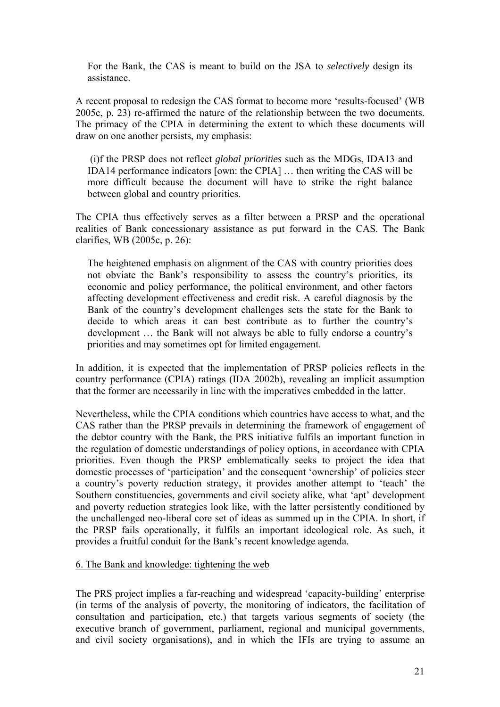For the Bank, the CAS is meant to build on the JSA to *selectively* design its assistance.

A recent proposal to redesign the CAS format to become more 'results-focused' (WB 2005c, p. 23) re-affirmed the nature of the relationship between the two documents. The primacy of the CPIA in determining the extent to which these documents will draw on one another persists, my emphasis:

 (i)f the PRSP does not reflect *global priorities* such as the MDGs, IDA13 and IDA14 performance indicators [own: the CPIA] … then writing the CAS will be more difficult because the document will have to strike the right balance between global and country priorities.

The CPIA thus effectively serves as a filter between a PRSP and the operational realities of Bank concessionary assistance as put forward in the CAS. The Bank clarifies, WB (2005c, p. 26):

The heightened emphasis on alignment of the CAS with country priorities does not obviate the Bank's responsibility to assess the country's priorities, its economic and policy performance, the political environment, and other factors affecting development effectiveness and credit risk. A careful diagnosis by the Bank of the country's development challenges sets the state for the Bank to decide to which areas it can best contribute as to further the country's development … the Bank will not always be able to fully endorse a country's priorities and may sometimes opt for limited engagement.

In addition, it is expected that the implementation of PRSP policies reflects in the country performance (CPIA) ratings (IDA 2002b), revealing an implicit assumption that the former are necessarily in line with the imperatives embedded in the latter.

Nevertheless, while the CPIA conditions which countries have access to what, and the CAS rather than the PRSP prevails in determining the framework of engagement of the debtor country with the Bank, the PRS initiative fulfils an important function in the regulation of domestic understandings of policy options, in accordance with CPIA priorities. Even though the PRSP emblematically seeks to project the idea that domestic processes of 'participation' and the consequent 'ownership' of policies steer a country's poverty reduction strategy, it provides another attempt to 'teach' the Southern constituencies, governments and civil society alike, what 'apt' development and poverty reduction strategies look like, with the latter persistently conditioned by the unchallenged neo-liberal core set of ideas as summed up in the CPIA. In short, if the PRSP fails operationally, it fulfils an important ideological role. As such, it provides a fruitful conduit for the Bank's recent knowledge agenda.

### 6. The Bank and knowledge: tightening the web

The PRS project implies a far-reaching and widespread 'capacity-building' enterprise (in terms of the analysis of poverty, the monitoring of indicators, the facilitation of consultation and participation, etc.) that targets various segments of society (the executive branch of government, parliament, regional and municipal governments, and civil society organisations), and in which the IFIs are trying to assume an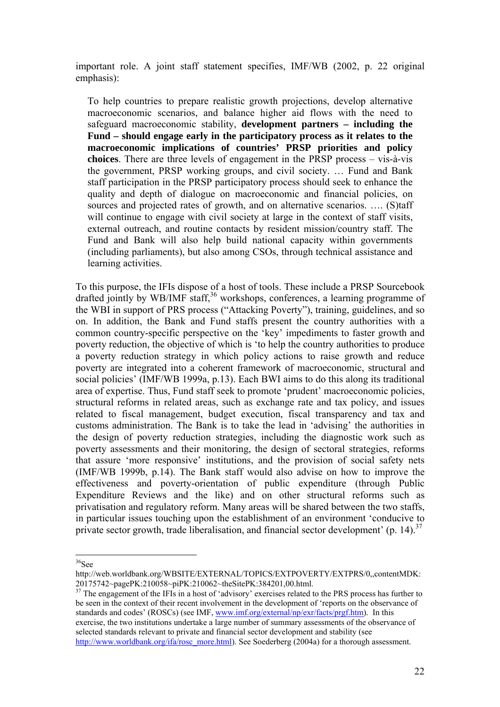important role. A joint staff statement specifies, IMF/WB (2002, p. 22 original emphasis):

To help countries to prepare realistic growth projections, develop alternative macroeconomic scenarios, and balance higher aid flows with the need to safeguard macroeconomic stability, **development partners – including the Fund – should engage early in the participatory process as it relates to the macroeconomic implications of countries' PRSP priorities and policy choices**. There are three levels of engagement in the PRSP process – vis-à-vis the government, PRSP working groups, and civil society. … Fund and Bank staff participation in the PRSP participatory process should seek to enhance the quality and depth of dialogue on macroeconomic and financial policies, on sources and projected rates of growth, and on alternative scenarios. …. (S)taff will continue to engage with civil society at large in the context of staff visits, external outreach, and routine contacts by resident mission/country staff. The Fund and Bank will also help build national capacity within governments (including parliaments), but also among CSOs, through technical assistance and learning activities.

To this purpose, the IFIs dispose of a host of tools. These include a PRSP Sourcebook drafted jointly by WB/IMF staff,  $36$  workshops, conferences, a learning programme of the WBI in support of PRS process ("Attacking Poverty"), training, guidelines, and so on. In addition, the Bank and Fund staffs present the country authorities with a common country-specific perspective on the 'key' impediments to faster growth and poverty reduction, the objective of which is 'to help the country authorities to produce a poverty reduction strategy in which policy actions to raise growth and reduce poverty are integrated into a coherent framework of macroeconomic, structural and social policies' (IMF/WB 1999a, p.13). Each BWI aims to do this along its traditional area of expertise. Thus, Fund staff seek to promote 'prudent' macroeconomic policies, structural reforms in related areas, such as exchange rate and tax policy, and issues related to fiscal management, budget execution, fiscal transparency and tax and customs administration. The Bank is to take the lead in 'advising' the authorities in the design of poverty reduction strategies, including the diagnostic work such as poverty assessments and their monitoring, the design of sectoral strategies, reforms that assure 'more responsive' institutions, and the provision of social safety nets (IMF/WB 1999b, p.14). The Bank staff would also advise on how to improve the effectiveness and poverty-orientation of public expenditure (through Public Expenditure Reviews and the like) and on other structural reforms such as privatisation and regulatory reform. Many areas will be shared between the two staffs, in particular issues touching upon the establishment of an environment 'conducive to private sector growth, trade liberalisation, and financial sector development' (p. 14).<sup>37</sup>

 $\overline{a}$  $36$ See

http://web.worldbank.org/WBSITE/EXTERNAL/TOPICS/EXTPOVERTY/EXTPRS/0,,contentMDK: 20175742~pagePK:210058~piPK:210062~theSitePK:384201,00.html.

<sup>&</sup>lt;sup>37</sup> The engagement of the IFIs in a host of 'advisory' exercises related to the PRS process has further to be seen in the context of their recent involvement in the development of 'reports on the observance of standards and codes' (ROSCs) (see IMF, www.imf.org/external/np/exr/facts/prgf.htm). In this exercise, the two institutions undertake a large number of summary assessments of the observance of selected standards relevant to private and financial sector development and stability (see http://www.worldbank.org/ifa/rosc\_more.html). See Soederberg (2004a) for a thorough assessment.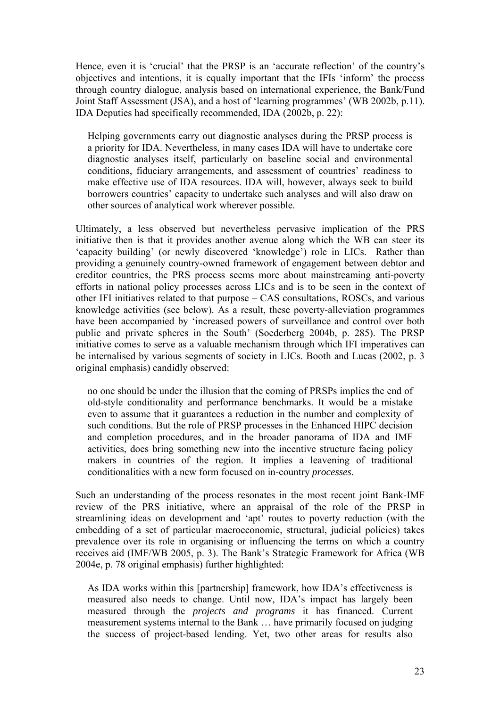Hence, even it is 'crucial' that the PRSP is an 'accurate reflection' of the country's objectives and intentions, it is equally important that the IFIs 'inform' the process through country dialogue, analysis based on international experience, the Bank/Fund Joint Staff Assessment (JSA), and a host of 'learning programmes' (WB 2002b, p.11). IDA Deputies had specifically recommended, IDA (2002b, p. 22):

Helping governments carry out diagnostic analyses during the PRSP process is a priority for IDA. Nevertheless, in many cases IDA will have to undertake core diagnostic analyses itself, particularly on baseline social and environmental conditions, fiduciary arrangements, and assessment of countries' readiness to make effective use of IDA resources. IDA will, however, always seek to build borrowers countries' capacity to undertake such analyses and will also draw on other sources of analytical work wherever possible.

Ultimately, a less observed but nevertheless pervasive implication of the PRS initiative then is that it provides another avenue along which the WB can steer its 'capacity building' (or newly discovered 'knowledge') role in LICs. Rather than providing a genuinely country-owned framework of engagement between debtor and creditor countries, the PRS process seems more about mainstreaming anti-poverty efforts in national policy processes across LICs and is to be seen in the context of other IFI initiatives related to that purpose – CAS consultations, ROSCs, and various knowledge activities (see below). As a result, these poverty-alleviation programmes have been accompanied by 'increased powers of surveillance and control over both public and private spheres in the South' (Soederberg 2004b, p. 285). The PRSP initiative comes to serve as a valuable mechanism through which IFI imperatives can be internalised by various segments of society in LICs. Booth and Lucas (2002, p. 3 original emphasis) candidly observed:

no one should be under the illusion that the coming of PRSPs implies the end of old-style conditionality and performance benchmarks. It would be a mistake even to assume that it guarantees a reduction in the number and complexity of such conditions. But the role of PRSP processes in the Enhanced HIPC decision and completion procedures, and in the broader panorama of IDA and IMF activities, does bring something new into the incentive structure facing policy makers in countries of the region. It implies a leavening of traditional conditionalities with a new form focused on in-country *processes*.

Such an understanding of the process resonates in the most recent joint Bank-IMF review of the PRS initiative, where an appraisal of the role of the PRSP in streamlining ideas on development and 'apt' routes to poverty reduction (with the embedding of a set of particular macroeconomic, structural, judicial policies) takes prevalence over its role in organising or influencing the terms on which a country receives aid (IMF/WB 2005, p. 3). The Bank's Strategic Framework for Africa (WB 2004e, p. 78 original emphasis) further highlighted:

As IDA works within this [partnership] framework, how IDA's effectiveness is measured also needs to change. Until now, IDA's impact has largely been measured through the *projects and programs* it has financed. Current measurement systems internal to the Bank … have primarily focused on judging the success of project-based lending. Yet, two other areas for results also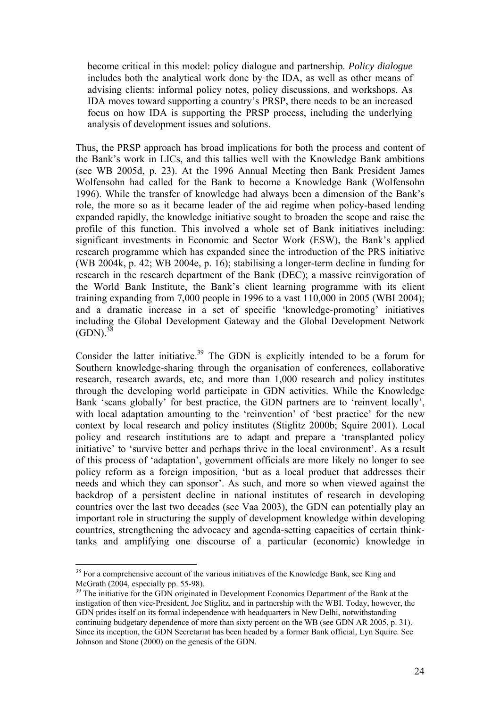become critical in this model: policy dialogue and partnership. *Policy dialogue* includes both the analytical work done by the IDA, as well as other means of advising clients: informal policy notes, policy discussions, and workshops. As IDA moves toward supporting a country's PRSP, there needs to be an increased focus on how IDA is supporting the PRSP process, including the underlying analysis of development issues and solutions.

Thus, the PRSP approach has broad implications for both the process and content of the Bank's work in LICs, and this tallies well with the Knowledge Bank ambitions (see WB 2005d, p. 23). At the 1996 Annual Meeting then Bank President James Wolfensohn had called for the Bank to become a Knowledge Bank (Wolfensohn 1996). While the transfer of knowledge had always been a dimension of the Bank's role, the more so as it became leader of the aid regime when policy-based lending expanded rapidly, the knowledge initiative sought to broaden the scope and raise the profile of this function. This involved a whole set of Bank initiatives including: significant investments in Economic and Sector Work (ESW), the Bank's applied research programme which has expanded since the introduction of the PRS initiative (WB 2004k, p. 42; WB 2004e, p. 16); stabilising a longer-term decline in funding for research in the research department of the Bank (DEC); a massive reinvigoration of the World Bank Institute, the Bank's client learning programme with its client training expanding from 7,000 people in 1996 to a vast 110,000 in 2005 (WBI 2004); and a dramatic increase in a set of specific 'knowledge-promoting' initiatives including the Global Development Gateway and the Global Development Network  $(GDN)^{38}$ 

Consider the latter initiative.<sup>39</sup> The GDN is explicitly intended to be a forum for Southern knowledge-sharing through the organisation of conferences, collaborative research, research awards, etc, and more than 1,000 research and policy institutes through the developing world participate in GDN activities. While the Knowledge Bank 'scans globally' for best practice, the GDN partners are to 'reinvent locally', with local adaptation amounting to the 'reinvention' of 'best practice' for the new context by local research and policy institutes (Stiglitz 2000b; Squire 2001). Local policy and research institutions are to adapt and prepare a 'transplanted policy initiative' to 'survive better and perhaps thrive in the local environment'. As a result of this process of 'adaptation', government officials are more likely no longer to see policy reform as a foreign imposition, 'but as a local product that addresses their needs and which they can sponsor'. As such, and more so when viewed against the backdrop of a persistent decline in national institutes of research in developing countries over the last two decades (see Vaa 2003), the GDN can potentially play an important role in structuring the supply of development knowledge within developing countries, strengthening the advocacy and agenda-setting capacities of certain thinktanks and amplifying one discourse of a particular (economic) knowledge in

<sup>&</sup>lt;sup>38</sup> For a comprehensive account of the various initiatives of the Knowledge Bank, see King and McGrath (2004, especially pp. 55-98).

<sup>&</sup>lt;sup>39</sup> The initiative for the GDN originated in Development Economics Department of the Bank at the instigation of then vice-President, Joe Stiglitz, and in partnership with the WBI. Today, however, the GDN prides itself on its formal independence with headquarters in New Delhi, notwithstanding continuing budgetary dependence of more than sixty percent on the WB (see GDN AR 2005, p. 31). Since its inception, the GDN Secretariat has been headed by a former Bank official, Lyn Squire. See Johnson and Stone (2000) on the genesis of the GDN.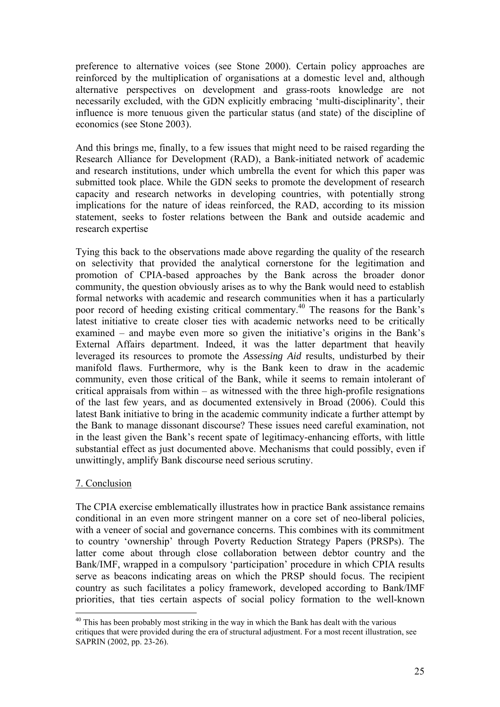preference to alternative voices (see Stone 2000). Certain policy approaches are reinforced by the multiplication of organisations at a domestic level and, although alternative perspectives on development and grass-roots knowledge are not necessarily excluded, with the GDN explicitly embracing 'multi-disciplinarity', their influence is more tenuous given the particular status (and state) of the discipline of economics (see Stone 2003).

And this brings me, finally, to a few issues that might need to be raised regarding the Research Alliance for Development (RAD), a Bank-initiated network of academic and research institutions, under which umbrella the event for which this paper was submitted took place. While the GDN seeks to promote the development of research capacity and research networks in developing countries, with potentially strong implications for the nature of ideas reinforced, the RAD, according to its mission statement, seeks to foster relations between the Bank and outside academic and research expertise

Tying this back to the observations made above regarding the quality of the research on selectivity that provided the analytical cornerstone for the legitimation and promotion of CPIA-based approaches by the Bank across the broader donor community, the question obviously arises as to why the Bank would need to establish formal networks with academic and research communities when it has a particularly poor record of heeding existing critical commentary.<sup>40</sup> The reasons for the Bank's latest initiative to create closer ties with academic networks need to be critically examined – and maybe even more so given the initiative's origins in the Bank's External Affairs department. Indeed, it was the latter department that heavily leveraged its resources to promote the *Assessing Aid* results, undisturbed by their manifold flaws. Furthermore, why is the Bank keen to draw in the academic community, even those critical of the Bank, while it seems to remain intolerant of critical appraisals from within – as witnessed with the three high-profile resignations of the last few years, and as documented extensively in Broad (2006). Could this latest Bank initiative to bring in the academic community indicate a further attempt by the Bank to manage dissonant discourse? These issues need careful examination, not in the least given the Bank's recent spate of legitimacy-enhancing efforts, with little substantial effect as just documented above. Mechanisms that could possibly, even if unwittingly, amplify Bank discourse need serious scrutiny.

# 7. Conclusion

 $\overline{a}$ 

The CPIA exercise emblematically illustrates how in practice Bank assistance remains conditional in an even more stringent manner on a core set of neo-liberal policies, with a veneer of social and governance concerns. This combines with its commitment to country 'ownership' through Poverty Reduction Strategy Papers (PRSPs). The latter come about through close collaboration between debtor country and the Bank/IMF, wrapped in a compulsory 'participation' procedure in which CPIA results serve as beacons indicating areas on which the PRSP should focus. The recipient country as such facilitates a policy framework, developed according to Bank/IMF priorities, that ties certain aspects of social policy formation to the well-known

 $40$  This has been probably most striking in the way in which the Bank has dealt with the various critiques that were provided during the era of structural adjustment. For a most recent illustration, see SAPRIN (2002, pp. 23-26).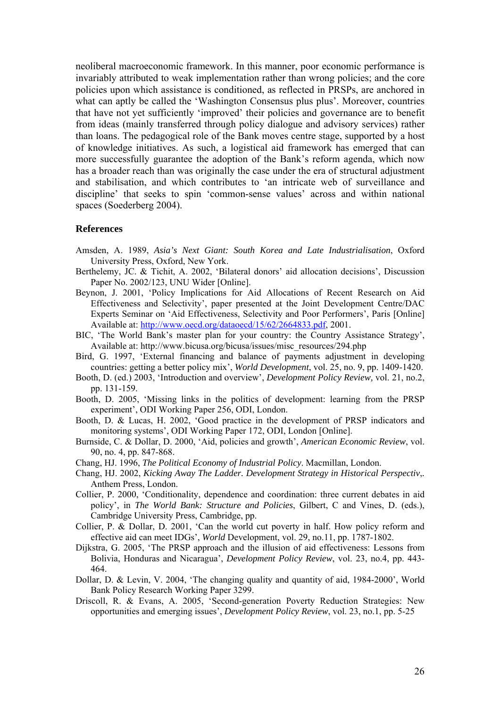neoliberal macroeconomic framework. In this manner, poor economic performance is invariably attributed to weak implementation rather than wrong policies; and the core policies upon which assistance is conditioned, as reflected in PRSPs, are anchored in what can aptly be called the 'Washington Consensus plus plus'. Moreover, countries that have not yet sufficiently 'improved' their policies and governance are to benefit from ideas (mainly transferred through policy dialogue and advisory services) rather than loans. The pedagogical role of the Bank moves centre stage, supported by a host of knowledge initiatives. As such, a logistical aid framework has emerged that can more successfully guarantee the adoption of the Bank's reform agenda, which now has a broader reach than was originally the case under the era of structural adjustment and stabilisation, and which contributes to 'an intricate web of surveillance and discipline' that seeks to spin 'common-sense values' across and within national spaces (Soederberg 2004).

#### **References**

- Amsden, A. 1989, *Asia's Next Giant: South Korea and Late Industrialisation*, Oxford University Press, Oxford, New York.
- Berthelemy, JC. & Tichit, A. 2002, 'Bilateral donors' aid allocation decisions', Discussion Paper No. 2002/123, UNU Wider [Online].
- Beynon, J. 2001, 'Policy Implications for Aid Allocations of Recent Research on Aid Effectiveness and Selectivity', paper presented at the Joint Development Centre/DAC Experts Seminar on 'Aid Effectiveness, Selectivity and Poor Performers', Paris [Online] Available at: http://www.oecd.org/dataoecd/15/62/2664833.pdf, 2001.
- BIC, 'The World Bank's master plan for your country: the Country Assistance Strategy', Available at: http://www.bicusa.org/bicusa/issues/misc\_resources/294.php
- Bird, G. 1997, 'External financing and balance of payments adjustment in developing countries: getting a better policy mix', *World Development*, vol. 25, no. 9, pp. 1409-1420.
- Booth, D. (ed.) 2003, 'Introduction and overview', *Development Policy Review,* vol. 21, no.2, pp. 131-159.
- Booth, D. 2005, 'Missing links in the politics of development: learning from the PRSP experiment', ODI Working Paper 256, ODI, London.
- Booth, D. & Lucas, H. 2002, 'Good practice in the development of PRSP indicators and monitoring systems', ODI Working Paper 172, ODI, London [Online].
- Burnside, C. & Dollar, D. 2000, 'Aid, policies and growth', *American Economic Review*, vol. 90, no. 4, pp. 847-868.
- Chang, HJ. 1996, *The Political Economy of Industrial Policy*. Macmillan, London.
- Chang, HJ. 2002, *Kicking Away The Ladder. Development Strategy in Historical Perspectiv*,*.*  Anthem Press, London.
- Collier, P. 2000, 'Conditionality, dependence and coordination: three current debates in aid policy', in *The World Bank: Structure and Policies*, Gilbert, C and Vines, D. (eds.), Cambridge University Press, Cambridge, pp.
- Collier, P. & Dollar, D. 2001, 'Can the world cut poverty in half. How policy reform and effective aid can meet IDGs', *World* Development, vol. 29, no.11, pp. 1787-1802.
- Dijkstra, G. 2005, 'The PRSP approach and the illusion of aid effectiveness: Lessons from Bolivia, Honduras and Nicaragua', *Development Policy Review*, vol. 23, no.4, pp. 443- 464.
- Dollar, D. & Levin, V. 2004, 'The changing quality and quantity of aid, 1984-2000', World Bank Policy Research Working Paper 3299.
- Driscoll, R. & Evans, A. 2005, 'Second-generation Poverty Reduction Strategies: New opportunities and emerging issues', *Development Policy Review*, vol. 23, no.1, pp. 5-25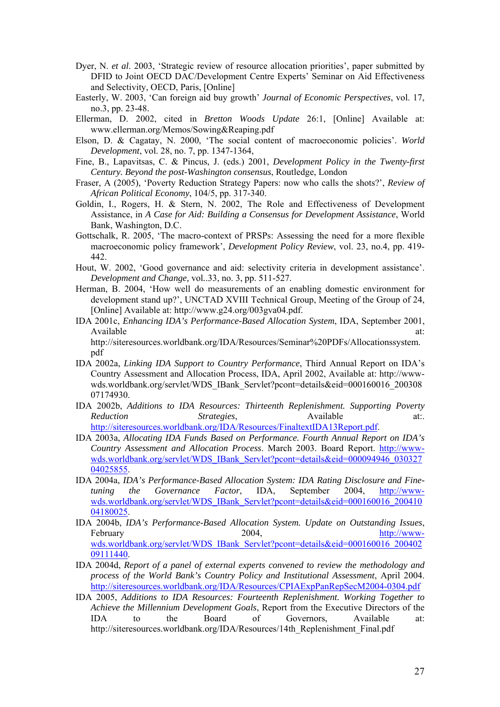- Dyer, N. *et al*. 2003, 'Strategic review of resource allocation priorities', paper submitted by DFID to Joint OECD DAC/Development Centre Experts' Seminar on Aid Effectiveness and Selectivity, OECD, Paris, [Online]
- Easterly, W. 2003, 'Can foreign aid buy growth' *Journal of Economic Perspectives*, vol. 17, no.3, pp. 23-48.
- Ellerman, D. 2002, cited in *Bretton Woods Update* 26:1, [Online] Available at: www.ellerman.org/Memos/Sowing&Reaping.pdf
- Elson, D. & Cagatay, N. 2000, 'The social content of macroeconomic policies'. *World Development*, vol. 28, no. 7, pp. 1347-1364,
- Fine, B., Lapavitsas, C. & Pincus, J. (eds.) 2001, *Development Policy in the Twenty-first Century. Beyond the post-Washington consensus*, Routledge, London
- Fraser, A (2005), 'Poverty Reduction Strategy Papers: now who calls the shots?', *Review of African Political Economy*, 104/5, pp. 317-340.
- Goldin, I., Rogers, H. & Stern, N. 2002, The Role and Effectiveness of Development Assistance, in *A Case for Aid: Building a Consensus for Development Assistance*, World Bank, Washington, D.C.
- Gottschalk, R. 2005, 'The macro-context of PRSPs: Assessing the need for a more flexible macroeconomic policy framework', *Development Policy Review*, vol. 23, no.4, pp. 419- 442.
- Hout, W. 2002, 'Good governance and aid: selectivity criteria in development assistance'. *Development and Change,* vol*.*.33, no. 3, pp. 511-527.
- Herman, B. 2004, 'How well do measurements of an enabling domestic environment for development stand up?', UNCTAD XVIII Technical Group, Meeting of the Group of 24, [Online] Available at: http://www.g24.org/003gva04.pdf.
- IDA 2001c, *Enhancing IDA's Performance-Based Allocation System*, IDA, September 2001, Available at:  $\alpha$ http://siteresources.worldbank.org/IDA/Resources/Seminar%20PDFs/Allocationssystem. pdf
- IDA 2002a, *Linking IDA Support to Country Performance*, Third Annual Report on IDA's Country Assessment and Allocation Process, IDA, April 2002, Available at: http://wwwwds.worldbank.org/servlet/WDS\_IBank\_Servlet?pcont=details&eid=000160016\_200308 07174930.
- IDA 2002b, *Additions to IDA Resources: Thirteenth Replenishment. Supporting Poverty Reduction Strategies*, Available at:. http://siteresources.worldbank.org/IDA/Resources/FinaltextIDA13Report.pdf.
- IDA 2003a, *Allocating IDA Funds Based on Performance. Fourth Annual Report on IDA's Country Assessment and Allocation Process*. March 2003. Board Report. http://wwwwds.worldbank.org/servlet/WDS\_IBank\_Servlet?pcont=details&eid=000094946\_030327 04025855.
- IDA 2004a, *IDA's Performance-Based Allocation System: IDA Rating Disclosure and Finetuning the Governance Factor*, IDA, September 2004, http://wwwwds.worldbank.org/servlet/WDS\_IBank\_Servlet?pcont=details&eid=000160016\_200410 04180025.
- IDA 2004b, *IDA's Performance-Based Allocation System. Update on Outstanding Issues*, February 2004, http://wwwwds.worldbank.org/servlet/WDS\_IBank\_Servlet?pcont=details&eid=000160016\_200402 09111440.
- IDA 2004d, *Report of a panel of external experts convened to review the methodology and process of the World Bank's Country Policy and Institutional Assessment*, April 2004. http://siteresources.worldbank.org/IDA/Resources/CPIAExpPanRepSecM2004-0304.pdf
- IDA 2005, *Additions to IDA Resources: Fourteenth Replenishment. Working Together to Achieve the Millennium Development Goals*, Report from the Executive Directors of the IDA to the Board of Governors, Available at: http://siteresources.worldbank.org/IDA/Resources/14th\_Replenishment\_Final.pdf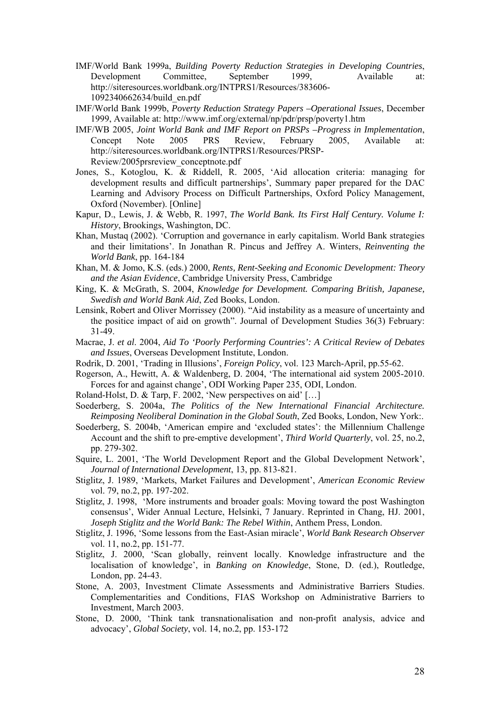- IMF/World Bank 1999a, *Building Poverty Reduction Strategies in Developing Countries*, Development Committee, September 1999, Available at: http://siteresources.worldbank.org/INTPRS1/Resources/383606- 1092340662634/build\_en.pdf
- IMF/World Bank 1999b, *Poverty Reduction Strategy Papers –Operational Issues*, December 1999, Available at: http://www.imf.org/external/np/pdr/prsp/poverty1.htm
- IMF/WB 2005, *Joint World Bank and IMF Report on PRSPs –Progress in Implementation*, Concept Note 2005 PRS Review, February 2005, Available at: http://siteresources.worldbank.org/INTPRS1/Resources/PRSP-Review/2005prsreview\_conceptnote.pdf
- Jones, S., Kotoglou, K. & Riddell, R. 2005, 'Aid allocation criteria: managing for development results and difficult partnerships', Summary paper prepared for the DAC Learning and Advisory Process on Difficult Partnerships, Oxford Policy Management, Oxford (November). [Online]
- Kapur, D., Lewis, J. & Webb, R. 1997, *The World Bank. Its First Half Century. Volume I: History*, Brookings, Washington, DC.
- Khan, Mustaq (2002). 'Corruption and governance in early capitalism. World Bank strategies and their limitations'. In Jonathan R. Pincus and Jeffrey A. Winters, *Reinventing the World Bank*, pp. 164-184
- Khan, M. & Jomo, K.S. (eds.) 2000, *Rents, Rent-Seeking and Economic Development: Theory and the Asian Evidence*, Cambridge University Press, Cambridge
- King, K. & McGrath, S. 2004, *Knowledge for Development. Comparing British, Japanese, Swedish and World Bank Aid*, Zed Books, London.
- Lensink, Robert and Oliver Morrissey (2000). "Aid instability as a measure of uncertainty and the positice impact of aid on growth". Journal of Development Studies 36(3) February: 31-49.
- Macrae, J. *et al*. 2004, *Aid To 'Poorly Performing Countries': A Critical Review of Debates and Issues*, Overseas Development Institute, London.
- Rodrik, D. 2001, 'Trading in Illusions', *Foreign Policy*, vol. 123 March-April, pp.55-62.
- Rogerson, A., Hewitt, A. & Waldenberg, D. 2004, 'The international aid system 2005-2010. Forces for and against change', ODI Working Paper 235, ODI, London.
- Roland-Holst, D. & Tarp, F. 2002, 'New perspectives on aid' […]
- Soederberg, S. 2004a, *The Politics of the New International Financial Architecture. Reimposing Neoliberal Domination in the Global South*, Zed Books, London, New York:.
- Soederberg, S. 2004b, 'American empire and 'excluded states': the Millennium Challenge Account and the shift to pre-emptive development', *Third World Quarterly*, vol. 25, no.2, pp. 279-302.
- Squire, L. 2001, 'The World Development Report and the Global Development Network', *Journal of International Development*, 13, pp. 813-821.
- Stiglitz, J. 1989, 'Markets, Market Failures and Development', *American Economic Review* vol. 79, no.2, pp. 197-202.
- Stiglitz, J. 1998, 'More instruments and broader goals: Moving toward the post Washington consensus', Wider Annual Lecture, Helsinki, 7 January. Reprinted in Chang, HJ. 2001, *Joseph Stiglitz and the World Bank: The Rebel Within*, Anthem Press, London.
- Stiglitz, J. 1996, 'Some lessons from the East-Asian miracle', *World Bank Research Observer*  vol. 11, no.2, pp. 151-77.
- Stiglitz, J. 2000, 'Scan globally, reinvent locally. Knowledge infrastructure and the localisation of knowledge', in *Banking on Knowledge*, Stone, D. (ed.), Routledge, London, pp. 24-43.
- Stone, A. 2003, Investment Climate Assessments and Administrative Barriers Studies. Complementarities and Conditions, FIAS Workshop on Administrative Barriers to Investment, March 2003.
- Stone, D. 2000, 'Think tank transnationalisation and non-profit analysis, advice and advocacy', *Global Society*, vol. 14, no.2, pp. 153-172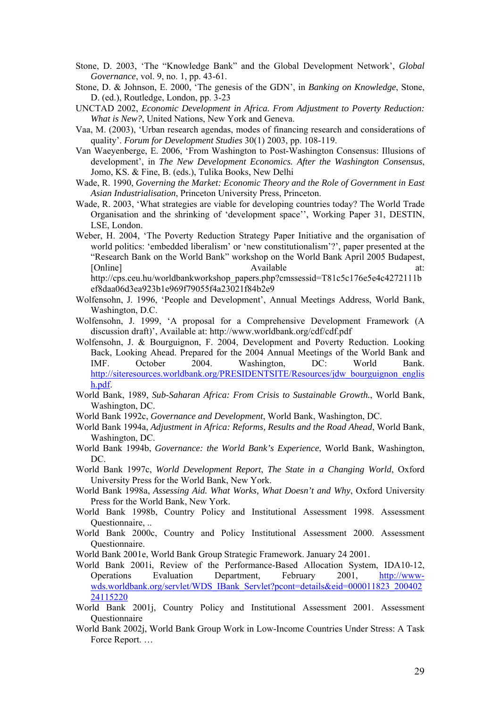- Stone, D. 2003, 'The "Knowledge Bank" and the Global Development Network', *Global Governance*, vol. 9, no. 1, pp. 43-61.
- Stone, D. & Johnson, E. 2000, 'The genesis of the GDN', in *Banking on Knowledge*, Stone, D. (ed.), Routledge, London, pp. 3-23
- UNCTAD 2002, *Economic Development in Africa. From Adjustment to Poverty Reduction: What is New?*, United Nations, New York and Geneva.
- Vaa, M. (2003), 'Urban research agendas, modes of financing research and considerations of quality'. *Forum for Development Studies* 30(1) 2003, pp. 108-119.
- Van Waeyenberge, E. 2006, 'From Washington to Post-Washington Consensus: Illusions of development', in *The New Development Economics. After the Washington Consensus*, Jomo, KS. & Fine, B. (eds.), Tulika Books, New Delhi
- Wade, R. 1990, *Governing the Market: Economic Theory and the Role of Government in East Asian Industrialisation*, Princeton University Press, Princeton.
- Wade, R. 2003, 'What strategies are viable for developing countries today? The World Trade Organisation and the shrinking of 'development space'', Working Paper 31, DESTIN, LSE, London.
- Weber, H. 2004, 'The Poverty Reduction Strategy Paper Initiative and the organisation of world politics: 'embedded liberalism' or 'new constitutionalism'?', paper presented at the "Research Bank on the World Bank" workshop on the World Bank April 2005 Budapest, [Online] Available at:

http://cps.ceu.hu/worldbankworkshop\_papers.php?cmssessid=T81c5c176e5e4c4272111b ef8daa06d3ea923b1e969f79055f4a23021f84b2e9

- Wolfensohn, J. 1996, 'People and Development', Annual Meetings Address, World Bank, Washington, D.C.
- Wolfensohn, J. 1999, 'A proposal for a Comprehensive Development Framework (A discussion draft)', Available at: http://www.worldbank.org/cdf/cdf.pdf
- Wolfensohn, J. & Bourguignon, F. 2004, Development and Poverty Reduction. Looking Back, Looking Ahead. Prepared for the 2004 Annual Meetings of the World Bank and IMF. October 2004. Washington, DC: World Bank. http://siteresources.worldbank.org/PRESIDENTSITE/Resources/jdw\_bourguignon\_englis h.pdf.
- World Bank, 1989, *Sub-Saharan Africa: From Crisis to Sustainable Growth.*, World Bank, Washington, DC.
- World Bank 1992c, *Governance and Development*, World Bank, Washington, DC.
- World Bank 1994a, *Adjustment in Africa: Reforms, Results and the Road Ahead*, World Bank, Washington, DC.
- World Bank 1994b, *Governance: the World Bank's Experience*, World Bank, Washington, DC.
- World Bank 1997c, *World Development Report*, *The State in a Changing World*, Oxford University Press for the World Bank, New York.
- World Bank 1998a, *Assessing Aid. What Works, What Doesn't and Why*, Oxford University Press for the World Bank, New York.
- World Bank 1998b, Country Policy and Institutional Assessment 1998. Assessment Questionnaire, ..
- World Bank 2000c, Country and Policy Institutional Assessment 2000. Assessment Questionnaire.
- World Bank 2001e, World Bank Group Strategic Framework. January 24 2001.
- World Bank 2001i, Review of the Performance-Based Allocation System, IDA10-12, Operations Evaluation Department, February 2001, http://wwwwds.worldbank.org/servlet/WDS\_IBank\_Servlet?pcont=details&eid=000011823\_200402 24115220
- World Bank 2001j, Country Policy and Institutional Assessment 2001. Assessment Questionnaire
- World Bank 2002j, World Bank Group Work in Low-Income Countries Under Stress: A Task Force Report. …